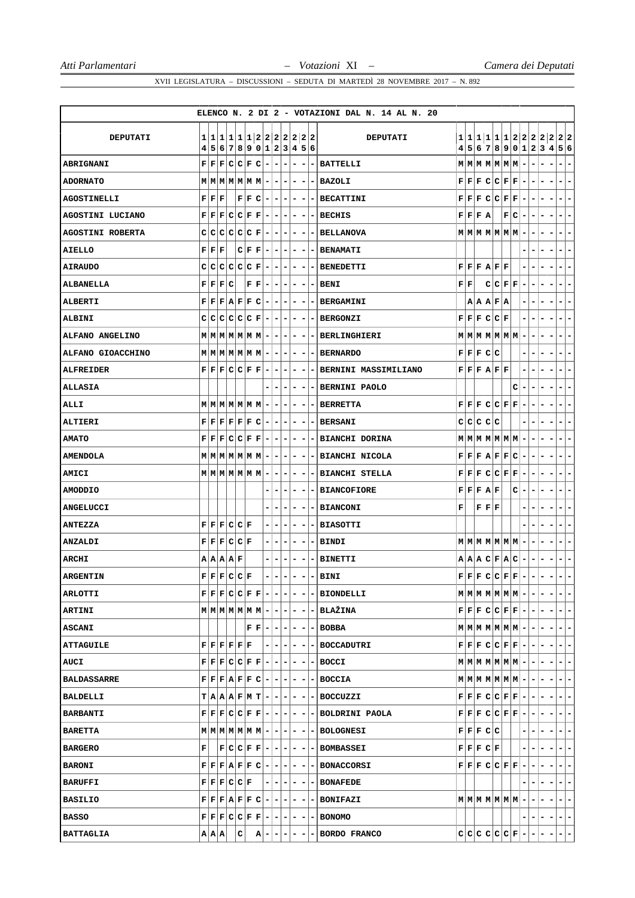|                         |                                                                                                                                                                 |   |                |                                                     |     |                          |                          |                          |                          |                          |                          | ELENCO N. 2 DI 2 - VOTAZIONI DAL N. 14 AL N. 20                                                                                                                                                                                                                                                                                                  |                           |           |                                           |             |                                                                                                                                                                                                                                                                                                                                                                                                                    |                                 |                          |                          |   |                                                        |
|-------------------------|-----------------------------------------------------------------------------------------------------------------------------------------------------------------|---|----------------|-----------------------------------------------------|-----|--------------------------|--------------------------|--------------------------|--------------------------|--------------------------|--------------------------|--------------------------------------------------------------------------------------------------------------------------------------------------------------------------------------------------------------------------------------------------------------------------------------------------------------------------------------------------|---------------------------|-----------|-------------------------------------------|-------------|--------------------------------------------------------------------------------------------------------------------------------------------------------------------------------------------------------------------------------------------------------------------------------------------------------------------------------------------------------------------------------------------------------------------|---------------------------------|--------------------------|--------------------------|---|--------------------------------------------------------|
|                         |                                                                                                                                                                 |   |                |                                                     |     |                          |                          |                          |                          |                          |                          |                                                                                                                                                                                                                                                                                                                                                  |                           |           |                                           |             |                                                                                                                                                                                                                                                                                                                                                                                                                    |                                 |                          |                          |   |                                                        |
| <b>DEPUTATI</b>         | 4                                                                                                                                                               |   |                |                                                     |     | 5 6 7 8 9 0 1 2 3 4 5 6  |                          |                          |                          |                          |                          | DEPUTATI                                                                                                                                                                                                                                                                                                                                         |                           |           |                                           |             |                                                                                                                                                                                                                                                                                                                                                                                                                    |                                 |                          |                          |   | 1 1 1 1 1 1 2 2 2 2 2 2 2<br>4 5 6 7 8 9 0 1 2 3 4 5 6 |
| <b>ABRIGNANI</b>        | F                                                                                                                                                               |   |                |                                                     |     | $ F F C C F C - -$       |                          | $\overline{\phantom{a}}$ | $\overline{\phantom{a}}$ | $\overline{\phantom{a}}$ | -                        | <b>BATTELLI</b>                                                                                                                                                                                                                                                                                                                                  |                           |           |                                           |             | $M$ $M$ $M$ $M$ $M$ $M$ $-$                                                                                                                                                                                                                                                                                                                                                                                        |                                 | ۰                        |                          |   | $\overline{\phantom{a}}$<br>-                          |
| <b>ADORNATO</b>         | $M$   $M$   $M$   $M$   $M$   $M$   $-$   $-$   $-$                                                                                                             |   |                |                                                     |     |                          |                          |                          | - 1                      | ٠                        |                          | - BAZOLI                                                                                                                                                                                                                                                                                                                                         |                           |           |                                           |             | $\mathbf{F} \,   \, \mathbf{F} \,   \, \mathbf{F} \,   \, \mathbf{C} \,   \, \mathbf{C} \,   \, \mathbf{F} \,   \, \mathbf{F} \,   \, -$                                                                                                                                                                                                                                                                           |                                 |                          | -                        |   | $\overline{\phantom{a}}$<br>-                          |
| <b>AGOSTINELLI</b>      | ${\bf F} \,   \, {\bf F} \,   \, {\bf F}$                                                                                                                       |   |                |                                                     |     | $F[F C - - - $           |                          |                          |                          |                          |                          | $- - $ - BECATTINI                                                                                                                                                                                                                                                                                                                               |                           |           |                                           |             | F[F]F[C]C[F]F]                                                                                                                                                                                                                                                                                                                                                                                                     | $\overline{\phantom{a}}$        | -                        | $\overline{\phantom{a}}$ |   | $\blacksquare$<br>۰                                    |
| AGOSTINI LUCIANO        | $F[F F C C F F - -1$                                                                                                                                            |   |                |                                                     |     |                          |                          |                          | ۰                        | ۰                        | ۰.                       | <b>BECHIS</b>                                                                                                                                                                                                                                                                                                                                    |                           | F F F A   |                                           |             | F C                                                                                                                                                                                                                                                                                                                                                                                                                | $\overline{\phantom{a}}$        |                          | ۰                        |   | -<br>$\overline{\phantom{a}}$                          |
| <b>AGOSTINI ROBERTA</b> | $C[C[C]C[C]F[-]-$                                                                                                                                               |   |                |                                                     |     |                          |                          | $\overline{\phantom{a}}$ | -                        | -                        | -                        | <b>BELLANOVA</b>                                                                                                                                                                                                                                                                                                                                 |                           |           |                                           |             | $M$ $M$ $M$ $M$ $M$ $M$ $-$                                                                                                                                                                                                                                                                                                                                                                                        |                                 |                          | -                        |   | Ξ.<br>۰                                                |
| AIELLO                  | ${\bf F} \,   \, {\bf F} \,   \, {\bf F}$                                                                                                                       |   |                |                                                     |     | $C F F - - $             |                          |                          | ۰                        | $\overline{\phantom{a}}$ |                          | <b>- BENAMATI</b>                                                                                                                                                                                                                                                                                                                                |                           |           |                                           |             |                                                                                                                                                                                                                                                                                                                                                                                                                    |                                 |                          |                          |   | Ξ.<br>۰                                                |
| <b>AIRAUDO</b>          | c                                                                                                                                                               | C |                | $ {\mathsf C} {\mathsf C} {\mathsf C} {\mathsf F} $ |     | $\overline{a}$           | $\overline{\phantom{a}}$ | $\overline{\phantom{a}}$ | ۰                        | ۰                        |                          | <b>BENEDETTI</b>                                                                                                                                                                                                                                                                                                                                 |                           |           |                                           | F F F A F F |                                                                                                                                                                                                                                                                                                                                                                                                                    | -                               |                          |                          |   | ۰                                                      |
| ALBANELLA               | F F F C                                                                                                                                                         |   |                |                                                     | F F | Ξ.                       | $\overline{\phantom{a}}$ | ۰                        | ۰.                       | -                        | -                        | <b>BENI</b>                                                                                                                                                                                                                                                                                                                                      | ${\bf F} \,   \, {\bf F}$ |           |                                           |             | C C F F                                                                                                                                                                                                                                                                                                                                                                                                            | $\overline{\phantom{a}}$        | ۰                        | -                        |   | -<br>$\overline{\phantom{a}}$                          |
| <b>ALBERTI</b>          | $\mathbf{F} \mid \mathbf{F} \mid \mathbf{F} \mid \mathbf{A} \mid \mathbf{F} \mid \mathbf{F} \mid \mathbf{C} \mid - \mid -$                                      |   |                |                                                     |     |                          |                          | $\overline{\phantom{a}}$ | ۰                        | $\overline{a}$           | $\blacksquare$           | <b>BERGAMINI</b>                                                                                                                                                                                                                                                                                                                                 |                           |           |                                           | A A A F A   |                                                                                                                                                                                                                                                                                                                                                                                                                    | -                               |                          |                          |   | -<br>-                                                 |
| <b>ALBINI</b>           | C                                                                                                                                                               |   |                |                                                     |     | c c c c c F - -          |                          | $\overline{ }$           | -                        | $\overline{\phantom{a}}$ |                          | <b>BERGONZI</b>                                                                                                                                                                                                                                                                                                                                  |                           |           |                                           | F F F C C F |                                                                                                                                                                                                                                                                                                                                                                                                                    | -                               |                          |                          |   | -                                                      |
| ALFANO ANGELINO         | $M$ $M$ $M$ $M$ $M$ $M$ $M$ $ -$                                                                                                                                |   |                |                                                     |     |                          |                          | ٠                        | - 1                      | ۰                        |                          | - BERLINGHIERI                                                                                                                                                                                                                                                                                                                                   |                           |           |                                           |             | $M$ $M$ $M$ $M$ $M$ $M$ $M$                                                                                                                                                                                                                                                                                                                                                                                        |                                 |                          |                          |   | ۰.<br>۰                                                |
| ALFANO GIOACCHINO       | $\mathbf{M} \mid \mathbf{M} \mid \mathbf{M} \mid \mathbf{M} \mid \mathbf{M} \mid \mathbf{M} \mid - \mid - \mid -$                                               |   |                |                                                     |     |                          |                          |                          | ۰                        | $\overline{\phantom{a}}$ |                          | <b>- BERNARDO</b>                                                                                                                                                                                                                                                                                                                                |                           | F F F C C |                                           |             |                                                                                                                                                                                                                                                                                                                                                                                                                    |                                 |                          |                          |   | -<br>$\overline{\phantom{a}}$                          |
| <b>ALFREIDER</b>        | $\mathbf{F} \left  \mathbf{F} \right  \mathbf{F} \left  \mathbf{C} \right  \mathbf{C} \left  \mathbf{F} \right  \mathbf{F} \left  - \right  - \left  - \right $ |   |                |                                                     |     |                          |                          |                          | $\overline{\phantom{0}}$ | $\overline{\phantom{0}}$ | $\sim$                   | <b>BERNINI MASSIMILIANO</b>                                                                                                                                                                                                                                                                                                                      |                           |           |                                           | F F F A F F |                                                                                                                                                                                                                                                                                                                                                                                                                    | -                               |                          |                          |   | -<br>$\overline{\phantom{a}}$                          |
| ALLASIA                 |                                                                                                                                                                 |   |                |                                                     |     |                          | $\overline{\phantom{a}}$ | ۰                        | Ξ.                       | $\overline{\phantom{a}}$ |                          | - BERNINI PAOLO                                                                                                                                                                                                                                                                                                                                  |                           |           |                                           |             |                                                                                                                                                                                                                                                                                                                                                                                                                    | C l<br>$\overline{\phantom{a}}$ |                          |                          |   | $\overline{\phantom{a}}$<br>۰                          |
| ALLI                    | $M$ $M$ $M$ $M$ $M$ $M$ $-$                                                                                                                                     |   |                |                                                     |     |                          | ۰                        | $\overline{\phantom{a}}$ | Ξ.                       |                          |                          | <b>BERRETTA</b>                                                                                                                                                                                                                                                                                                                                  |                           |           |                                           |             | F F F C C F F                                                                                                                                                                                                                                                                                                                                                                                                      | $\overline{\phantom{a}}$        |                          |                          |   | -                                                      |
| ALTIERI                 | $F[F F F F F C - - $                                                                                                                                            |   |                |                                                     |     |                          |                          |                          | $-1$                     | $\overline{\phantom{a}}$ |                          | - BERSANI                                                                                                                                                                                                                                                                                                                                        |                           | C C C C C |                                           |             |                                                                                                                                                                                                                                                                                                                                                                                                                    | -                               |                          |                          |   | -<br>Ξ.                                                |
| <b>AMATO</b>            | $\mathbf{F} \mid \mathbf{F} \mid \mathbf{F} \mid \mathbf{C} \mid \mathbf{C} \mid \mathbf{F} \mid \mathbf{F} \mid - \mid -$                                      |   |                |                                                     |     |                          |                          | ۰                        | ۰                        | $\overline{\phantom{a}}$ | $\overline{\phantom{a}}$ | <b>BIANCHI DORINA</b>                                                                                                                                                                                                                                                                                                                            |                           |           |                                           |             | $M$ $M$ $M$ $M$ $M$ $M$ $M$ $-$                                                                                                                                                                                                                                                                                                                                                                                    |                                 |                          | ۰                        | - | ۰<br>-                                                 |
| <b>AMENDOLA</b>         | $M$ $M$ $M$ $M$ $M$ $M$ $M$ $-$                                                                                                                                 |   |                |                                                     |     |                          | $\blacksquare$           | $\overline{\phantom{a}}$ | -                        | ۰                        |                          | - BIANCHI NICOLA                                                                                                                                                                                                                                                                                                                                 |                           |           |                                           |             | F F F A F F C                                                                                                                                                                                                                                                                                                                                                                                                      | ۰                               |                          |                          |   | $\overline{\phantom{a}}$<br>-                          |
| AMICI                   | $M$   $M$   $M$   $M$   $M$   $M$   $-$   $-$   $-$                                                                                                             |   |                |                                                     |     |                          |                          |                          | $-1$                     | $\overline{\phantom{a}}$ |                          | - BIANCHI STELLA                                                                                                                                                                                                                                                                                                                                 |                           |           |                                           |             | F F F C C F F                                                                                                                                                                                                                                                                                                                                                                                                      | $\overline{\phantom{a}}$        | -                        | $\overline{\phantom{a}}$ |   | -<br>$\overline{\phantom{a}}$                          |
| <b>AMODDIO</b>          |                                                                                                                                                                 |   |                |                                                     |     |                          | ۰                        | ۰                        | -                        | ۰                        | ۰                        | <b>BIANCOFIORE</b>                                                                                                                                                                                                                                                                                                                               |                           | F F F A F |                                           |             |                                                                                                                                                                                                                                                                                                                                                                                                                    | C  <br>$\overline{\phantom{a}}$ |                          |                          |   | -<br>$\overline{\phantom{a}}$                          |
| <b>ANGELUCCI</b>        |                                                                                                                                                                 |   |                |                                                     |     |                          | ۰                        | ۰                        | ۰                        | ۰                        | -                        | <b>BIANCONI</b>                                                                                                                                                                                                                                                                                                                                  | F                         |           | ${\bf F} \,   \, {\bf F} \,   \, {\bf F}$ |             |                                                                                                                                                                                                                                                                                                                                                                                                                    |                                 |                          |                          |   | ۰<br>-                                                 |
| ANTEZZA                 | F F F C C F                                                                                                                                                     |   |                |                                                     |     | - 1                      | $\overline{\phantom{a}}$ | $\overline{\phantom{a}}$ | -                        | $\overline{\phantom{a}}$ |                          | - BIASOTTI                                                                                                                                                                                                                                                                                                                                       |                           |           |                                           |             |                                                                                                                                                                                                                                                                                                                                                                                                                    |                                 |                          |                          |   | ۰<br>н.                                                |
| <b>ANZALDI</b>          | F F F C C F                                                                                                                                                     |   |                |                                                     |     | -                        | $\overline{\phantom{a}}$ | ۰                        | -                        | ۰                        | ٠                        | <b>BINDI</b>                                                                                                                                                                                                                                                                                                                                     |                           |           |                                           |             | $M$ $M$ $M$ $M$ $M$ $M$ $M$                                                                                                                                                                                                                                                                                                                                                                                        | $\overline{\phantom{a}}$        |                          | ۰                        |   | -<br>$\overline{\phantom{a}}$                          |
| <b>ARCHI</b>            | A A A A F                                                                                                                                                       |   |                |                                                     |     |                          | $\overline{\phantom{a}}$ | ۰                        | ۰                        | $\overline{\phantom{a}}$ |                          | - BINETTI                                                                                                                                                                                                                                                                                                                                        |                           |           |                                           |             | $A A C F A C$ -                                                                                                                                                                                                                                                                                                                                                                                                    |                                 | $\overline{\phantom{a}}$ | -                        |   | $\blacksquare$<br>-                                    |
| <b>ARGENTIN</b>         | F F F C C F                                                                                                                                                     |   |                |                                                     |     | $\overline{\phantom{a}}$ | $\overline{\phantom{a}}$ | $\overline{\phantom{a}}$ | $\overline{\phantom{a}}$ | $\overline{\phantom{a}}$ |                          | $-$ BINI                                                                                                                                                                                                                                                                                                                                         |                           |           |                                           |             | $\mathbf{F} \mathbf{F} \mathbf{F} \mathbf{C} \mathbf{C} \mathbf{F} \mathbf{F} $ –                                                                                                                                                                                                                                                                                                                                  |                                 | $\vert - \vert$          | $\overline{\phantom{a}}$ | - | $\overline{a}$<br>$\overline{\phantom{a}}$             |
| <b>ARLOTTI</b>          |                                                                                                                                                                 |   |                |                                                     |     |                          |                          |                          |                          |                          |                          | $F F F C C F F - - - - F $ BIONDELLI                                                                                                                                                                                                                                                                                                             |                           |           |                                           |             | $M M M M M M M  -   -   -  - $                                                                                                                                                                                                                                                                                                                                                                                     |                                 |                          |                          |   | $\overline{a}$<br>$\overline{\phantom{a}}$             |
| <b>ARTINI</b>           |                                                                                                                                                                 |   |                |                                                     |     |                          |                          |                          |                          |                          |                          | $M M M M M M M $ - - - - - - BLAŽINA                                                                                                                                                                                                                                                                                                             |                           |           |                                           |             | $ F F F C C F F - - -1$                                                                                                                                                                                                                                                                                                                                                                                            |                                 |                          |                          |   | $ -$                                                   |
| ASCANI                  |                                                                                                                                                                 |   |                |                                                     |     |                          |                          |                          |                          |                          |                          | $ F F - - - - - BOBBA $                                                                                                                                                                                                                                                                                                                          |                           |           |                                           |             | $\begin{array}{c c c c c c c c c} \hline \textbf{M} & \textbf{M} & \textbf{M} & \textbf{M} & \textbf{M} & \textbf{M} & \textbf{M} & \textbf{M} & \textbf{M} & \textbf{M} & \textbf{M} & \textbf{M} & \textbf{M} & \textbf{M} & \textbf{M} & \textbf{M} & \textbf{M} & \textbf{M} & \textbf{M} & \textbf{M} & \textbf{M} & \textbf{M} & \textbf{M} & \textbf{M} & \textbf{M} & \textbf{M} & \textbf{M} & \textbf{M$ |                                 |                          |                          |   | $\vert - \vert -$                                      |
| ATTAGUILE               |                                                                                                                                                                 |   |                |                                                     |     |                          |                          |                          |                          |                          |                          | $\mathbf{F} \mathbf{F} \mathbf{F} \mathbf{F} \mathbf{F} \mathbf{F} \mathbf{F}$ $\mathbf{F}$ $\mathbf{F}$ $\mathbf{F}$ $\mathbf{F}$ $\mathbf{F}$ $\mathbf{F}$ $\mathbf{F}$ $\mathbf{F}$ $\mathbf{F}$ $\mathbf{F}$ $\mathbf{F}$ $\mathbf{F}$ $\mathbf{F}$ $\mathbf{F}$ $\mathbf{F}$ $\mathbf{F}$ $\mathbf{F}$ $\mathbf{F}$ $\mathbf{F}$ $\mathbf{$ |                           |           |                                           |             | $F[F F C C F F - - -$                                                                                                                                                                                                                                                                                                                                                                                              |                                 |                          |                          |   | $ -$                                                   |
| AUCI                    |                                                                                                                                                                 |   |                |                                                     |     |                          |                          |                          |                          |                          |                          | $\mathbf{F} \left  \mathbf{F} \right  \mathbf{C} \left  \mathbf{C} \right  \mathbf{F} \left  \mathbf{F} \right  - \left  - \right  - \left  - \right  - \left  - \right  \text{BOCCL}$                                                                                                                                                           |                           |           |                                           |             | $M$   $M$   $M$   $M$   $M$   $M$   $-$   $-$   $-$   $-$                                                                                                                                                                                                                                                                                                                                                          |                                 |                          |                          |   | $-1-$                                                  |
| <b>BALDASSARRE</b>      |                                                                                                                                                                 |   |                |                                                     |     |                          |                          |                          |                          |                          |                          | $\mathbf{F} \mathbf{F} \mathbf{F} \mathbf{A} \mathbf{F} \mathbf{F} \mathbf{C} - - - - - $ BOCCIA                                                                                                                                                                                                                                                 |                           |           |                                           |             | $M$ $M$ $M$ $M$ $M$ $M$ $M$ $   -$                                                                                                                                                                                                                                                                                                                                                                                 |                                 |                          |                          |   | $ - -$                                                 |
| BALDELLI                |                                                                                                                                                                 |   |                |                                                     |     |                          |                          |                          |                          |                          |                          | $T A A R F M T - - - - - BOCCUZZI $                                                                                                                                                                                                                                                                                                              |                           |           |                                           |             | $\mathbf{F} \left  \mathbf{F} \right  \mathbf{F} \left  \mathbf{C} \right  \mathbf{C} \left  \mathbf{F} \right  \mathbf{F} \left  -   -   -   -   \right $                                                                                                                                                                                                                                                         |                                 |                          |                          |   | $\left\vert -\right\vert -\right\vert$                 |
| <b>BARBANTI</b>         |                                                                                                                                                                 |   |                |                                                     |     |                          |                          |                          |                          |                          |                          | $F F C C F F - - - - BOLDRINI$ PAOLA                                                                                                                                                                                                                                                                                                             |                           |           |                                           |             | $F[F F C C F F - - -1$                                                                                                                                                                                                                                                                                                                                                                                             |                                 |                          |                          |   | $-1-$                                                  |
| <b>BARETTA</b>          |                                                                                                                                                                 |   |                |                                                     |     |                          |                          |                          |                          |                          |                          | $M$   $M$   $M$   $M$   $M$   $M$   $-$   $-$   $-$   $-$   $-$   $-$   BOLOGNESI                                                                                                                                                                                                                                                                |                           |           |                                           | F[F F C C]  |                                                                                                                                                                                                                                                                                                                                                                                                                    |                                 |                          |                          |   | $- -$                                                  |
| <b>BARGERO</b>          | $\mathbf{F}$                                                                                                                                                    |   |                |                                                     |     |                          |                          |                          |                          |                          |                          | $ F C C F F - - - - - BOMBASSET $                                                                                                                                                                                                                                                                                                                |                           |           |                                           | F F F C F   |                                                                                                                                                                                                                                                                                                                                                                                                                    | $\overline{\phantom{a}}$        | $\sim$                   |                          |   | $ -$                                                   |
| <b>BARONI</b>           |                                                                                                                                                                 |   |                |                                                     |     |                          |                          |                          |                          |                          |                          | $\mathbf{F}   \mathbf{F}   \mathbf{F}   \mathbf{A}   \mathbf{F}   \mathbf{F}   \mathbf{C}   -   -   -   -   -  $ BONACCORSI                                                                                                                                                                                                                      |                           |           |                                           |             | $\mathbf{F} \,   \, \mathbf{F} \,   \, \mathbf{F} \,   \, \mathbf{C} \,   \, \mathbf{C} \,   \, \mathbf{F} \,   \, \mathbf{F} \,   \, - \,$                                                                                                                                                                                                                                                                        |                                 | $ - $                    | $-1-$                    |   | $- -$                                                  |
| <b>BARUFFI</b>          | F F F C C F                                                                                                                                                     |   |                |                                                     |     |                          |                          |                          |                          |                          |                          | - - - - - - BONAFEDE                                                                                                                                                                                                                                                                                                                             |                           |           |                                           |             |                                                                                                                                                                                                                                                                                                                                                                                                                    |                                 |                          |                          |   | $-1-$                                                  |
| <b>BASILIO</b>          |                                                                                                                                                                 |   |                |                                                     |     |                          |                          |                          |                          |                          |                          | $F F F A F F C - - - - - BONIFAZI $                                                                                                                                                                                                                                                                                                              |                           |           |                                           |             | $M M M M M M M  -   -   -   -$                                                                                                                                                                                                                                                                                                                                                                                     |                                 |                          |                          |   | $ -$                                                   |
| <b>BASSO</b>            |                                                                                                                                                                 |   |                |                                                     |     |                          |                          |                          |                          |                          |                          | $F F F C C F F - - - - - BONOMO $                                                                                                                                                                                                                                                                                                                |                           |           |                                           |             |                                                                                                                                                                                                                                                                                                                                                                                                                    |                                 |                          | ------                   |   | $ - -$                                                 |
| BATTAGLIA               | A A A                                                                                                                                                           |   | $ \mathbf{c} $ |                                                     |     | $ {\bf A} - - - $        |                          |                          | $-1$                     | $\overline{\phantom{a}}$ |                          | - BORDO FRANCO                                                                                                                                                                                                                                                                                                                                   |                           |           |                                           |             |                                                                                                                                                                                                                                                                                                                                                                                                                    |                                 |                          |                          |   | $c c c c c F $ - - - - - -                             |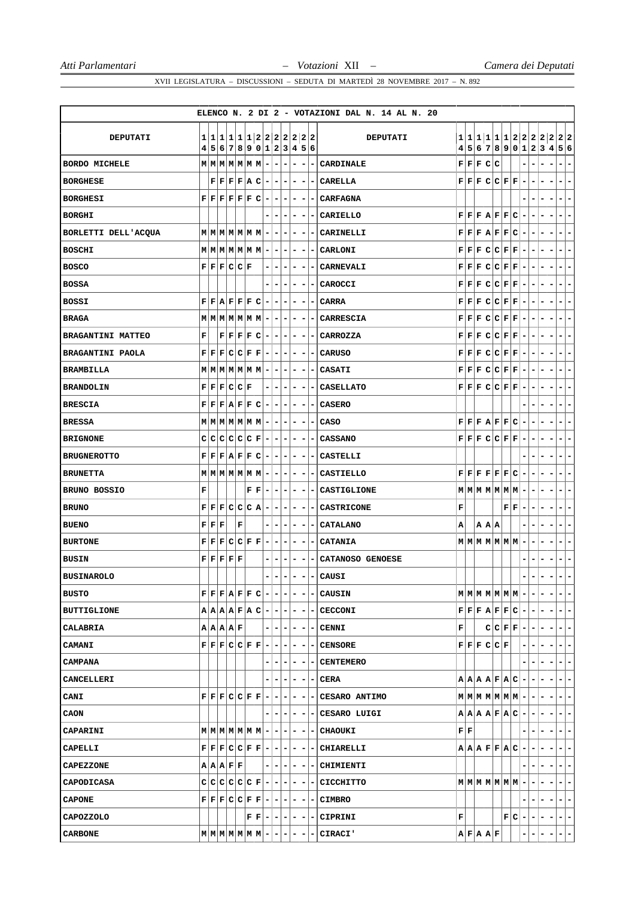|                         |                                                                                                     |                                                                                                                                                |   |                        |                                          |                          |                          |                              |                              |                          |                          | ELENCO N. 2 DI 2 - VOTAZIONI DAL N. 14 AL N. 20 |                           |                                                          |       |                                                                                                                                                        |                           |         |                |                          |                               |                          |                                                      |
|-------------------------|-----------------------------------------------------------------------------------------------------|------------------------------------------------------------------------------------------------------------------------------------------------|---|------------------------|------------------------------------------|--------------------------|--------------------------|------------------------------|------------------------------|--------------------------|--------------------------|-------------------------------------------------|---------------------------|----------------------------------------------------------|-------|--------------------------------------------------------------------------------------------------------------------------------------------------------|---------------------------|---------|----------------|--------------------------|-------------------------------|--------------------------|------------------------------------------------------|
|                         |                                                                                                     |                                                                                                                                                |   |                        |                                          |                          |                          |                              |                              |                          |                          |                                                 |                           |                                                          |       |                                                                                                                                                        |                           |         |                |                          |                               |                          |                                                      |
| DEPUTATI                |                                                                                                     | 4 5 6 7 8 9 0 1 2 3 4 5 6                                                                                                                      |   |                        |                                          |                          |                          |                              |                              |                          |                          | <b>DEPUTATI</b>                                 | 4                         |                                                          |       |                                                                                                                                                        |                           |         |                |                          |                               |                          | 1 1 1 1 1 1 2 2 2 2 2 2 2<br>5 6 7 8 9 0 1 2 3 4 5 6 |
| <b>BORDO MICHELE</b>    | $M$ $M$ $M$ $M$ $M$ $M$ $M$                                                                         |                                                                                                                                                |   |                        |                                          | $\overline{\phantom{a}}$ | $\overline{\phantom{a}}$ | ۰                            | ۰                            | $\overline{\phantom{a}}$ |                          | CARDINALE                                       |                           | F F F C C                                                |       |                                                                                                                                                        |                           |         | ۳              | -                        |                               |                          | -                                                    |
| <b>BORGHESE</b>         |                                                                                                     | F F F F A C                                                                                                                                    |   |                        |                                          | $\overline{\phantom{a}}$ | $\blacksquare$           | $\overline{\phantom{a}}$     | ۰                            | ۰                        |                          | CARELLA                                         |                           |                                                          |       | $F$ $F$ $F$ $C$ $C$ $F$ $F$                                                                                                                            |                           |         | -              |                          |                               |                          | -                                                    |
| <b>BORGHESI</b>         |                                                                                                     | ${\tt F}   {\tt F}   {\tt F}   {\tt F}   {\tt F}   {\tt C}$                                                                                    |   |                        |                                          | $-1$                     | $ -$                     |                              | $\overline{a}$               | $\overline{\phantom{a}}$ | $\overline{\phantom{a}}$ | <b>CARFAGNA</b>                                 |                           |                                                          |       |                                                                                                                                                        |                           |         | -              |                          |                               |                          | -                                                    |
| <b>BORGHI</b>           |                                                                                                     |                                                                                                                                                |   |                        |                                          |                          | $\overline{\phantom{a}}$ | $\overline{\phantom{a}}$     | $\qquad \qquad -$            | $\overline{\phantom{a}}$ |                          | <b>CARIELLO</b>                                 |                           |                                                          |       | $F$ $F$ $F$ $A$ $F$ $F$ $C$                                                                                                                            |                           |         | -              |                          | -                             |                          | -                                                    |
| BORLETTI DELL'ACQUA     | $M$ $M$ $M$ $M$ $M$ $M$ $-$                                                                         |                                                                                                                                                |   |                        |                                          |                          | ۰                        | ۰                            | ۰                            | $\overline{\phantom{a}}$ |                          | CARINELLI                                       |                           |                                                          |       | F F F A F F C                                                                                                                                          |                           |         | -              |                          |                               |                          | -                                                    |
| <b>BOSCHI</b>           | $M$ $M$ $M$ $M$ $M$ $M$ $M$                                                                         |                                                                                                                                                |   |                        |                                          | $\overline{a}$           | $\blacksquare$           | $\overline{ }$               | $\overline{\phantom{a}}$     | $\overline{\phantom{a}}$ | $\overline{\phantom{a}}$ | CARLONI                                         |                           |                                                          |       | ${\tt F}   {\tt F}   {\tt F}   {\tt C}   {\tt C}   {\tt F}   {\tt F}$                                                                                  |                           |         | -              | ۰                        | $\overline{\phantom{a}}$      |                          | ۰                                                    |
| <b>BOSCO</b>            |                                                                                                     | F F F C C F                                                                                                                                    |   |                        |                                          | Ξ.                       | $\blacksquare$           | $\overline{\phantom{a}}$     | $\qquad \qquad \blacksquare$ | $\overline{\phantom{a}}$ |                          | CARNEVALI                                       |                           | $\mathbf{F} \mid \mathbf{F} \mid \mathbf{F}$             |       | C C F F                                                                                                                                                |                           |         | ۰              | ۰                        | -<br>-                        |                          | -                                                    |
| <b>BOSSA</b>            |                                                                                                     |                                                                                                                                                |   |                        |                                          |                          | -                        |                              | -                            | -                        | -                        | CAROCCI                                         |                           |                                                          |       | F F F C C F F                                                                                                                                          |                           |         | -              | ۰                        | ٠                             |                          | -                                                    |
| BOSSI                   |                                                                                                     | F F A F F F C                                                                                                                                  |   |                        |                                          | $\overline{\phantom{a}}$ | $\overline{\phantom{a}}$ | ۰                            | $\qquad \qquad \blacksquare$ | $\overline{\phantom{a}}$ | ۰                        | CARRA                                           |                           |                                                          |       | $\mathbf{F} \mathbf{F} \mathbf{F} \mathbf{C} \mathbf{C} \mathbf{F} \mathbf{F}$                                                                         |                           |         | -              | ۰                        |                               |                          | -                                                    |
| <b>BRAGA</b>            |                                                                                                     | $M$ $M$ $M$ $M$ $M$ $M$ $M$                                                                                                                    |   |                        |                                          | $\overline{\phantom{a}}$ | ۰                        | ۰                            | ۰                            | ۰                        |                          | CARRESCIA                                       |                           |                                                          |       | F F F C C F F                                                                                                                                          |                           |         | ۰              |                          |                               |                          | -                                                    |
| BRAGANTINI MATTEO       | F                                                                                                   | F F F F C                                                                                                                                      |   |                        |                                          | Ξ.                       | -                        | ۰                            | ۰.                           | -                        | ۰.                       | CARROZZA                                        |                           |                                                          |       | F F F C C F F                                                                                                                                          |                           |         | ۰              | ۰                        | н.                            |                          | ۰                                                    |
| <b>BRAGANTINI PAOLA</b> |                                                                                                     | $\mathbf{F} \mathbf{F} \mathbf{F} \mathbf{C} \mathbf{C} \mathbf{F} \mathbf{F}$                                                                 |   |                        |                                          | $\blacksquare$           | $\overline{\phantom{a}}$ | $\overline{\phantom{a}}$     | -                            | -                        |                          | <b>CARUSO</b>                                   |                           |                                                          |       | F F F C C F F                                                                                                                                          |                           |         | $\overline{a}$ |                          |                               |                          | -                                                    |
| <b>BRAMBILLA</b>        |                                                                                                     | $M$ $M$ $M$ $M$ $M$ $M$ $M$ $ \mid$                                                                                                            |   |                        |                                          |                          | $\blacksquare$           | $\overline{ }$               | ۰                            | $\overline{\phantom{a}}$ |                          | <b>CASATI</b>                                   |                           |                                                          |       | F F F C C F F                                                                                                                                          |                           |         | ۰              | ۰                        | -<br>۰                        |                          | -                                                    |
| <b>BRANDOLIN</b>        |                                                                                                     | F F F C C F                                                                                                                                    |   |                        |                                          |                          | ٠                        | ۰                            | ۰                            | ٠                        | -                        | <b>CASELLATO</b>                                |                           |                                                          |       | F F F C C F F                                                                                                                                          |                           |         | -              | ۰                        | -                             |                          | -                                                    |
| <b>BRESCIA</b>          |                                                                                                     | F F F A F F C                                                                                                                                  |   |                        |                                          | $\blacksquare$           | ۰                        |                              | -                            | ۰                        |                          | <b>CASERO</b>                                   |                           |                                                          |       |                                                                                                                                                        |                           |         |                |                          |                               |                          | -                                                    |
| <b>BRESSA</b>           | $M$ $M$ $M$ $M$ $M$ $M$ $  -$                                                                       |                                                                                                                                                |   |                        |                                          |                          |                          |                              | ۰                            | $\overline{\phantom{a}}$ |                          | CASO                                            |                           |                                                          |       | F F F A F F C                                                                                                                                          |                           |         | -              | ۰                        | -<br>-                        |                          | -                                                    |
| <b>BRIGNONE</b>         |                                                                                                     | C C C C C F                                                                                                                                    |   |                        |                                          | $\overline{\phantom{a}}$ | ٠                        | ۰                            | -                            | $\overline{\phantom{a}}$ | ۰                        | <b>CASSANO</b>                                  |                           |                                                          |       | F F F C C F F                                                                                                                                          |                           |         | ۰              | ۰                        | ۰<br>-                        |                          | ۳                                                    |
| <b>BRUGNEROTTO</b>      |                                                                                                     | F F F A F F C                                                                                                                                  |   |                        |                                          | ٠                        | ۰                        | ۰                            | ۰                            |                          |                          | <b>CASTELLI</b>                                 |                           |                                                          |       |                                                                                                                                                        |                           |         |                |                          |                               |                          |                                                      |
| <b>BRUNETTA</b>         | $M$ $M$ $M$ $M$ $M$ $M$ $M$                                                                         |                                                                                                                                                |   |                        |                                          | $-1-1-$                  |                          |                              | ۰                            | $\overline{\phantom{a}}$ | -                        | <b>CASTIELLO</b>                                |                           |                                                          |       | $\mathbf{F} \,   \, \mathbf{F} \,   \, \mathbf{F} \,   \, \mathbf{F} \,   \, \mathbf{F} \,   \, \mathbf{C} \,  $                                       |                           |         | ۰              | ۰                        | -                             | Ξ.                       | $\overline{a}$                                       |
| <b>BRUNO BOSSIO</b>     | F                                                                                                   |                                                                                                                                                |   | ${\bf F} \mid {\bf F}$ |                                          | ٠                        | ۰                        | ۰                            | -                            | -                        | ۰                        | CASTIGLIONE                                     |                           |                                                          |       | $M$ $M$ $M$ $M$ $M$ $M$ $M$                                                                                                                            |                           |         | ۰              | ۰                        | -<br>۰                        |                          | ۳                                                    |
| <b>BRUNO</b>            | F F F C C C A                                                                                       |                                                                                                                                                |   |                        |                                          | ۰                        | ۰                        | ۰                            | -                            | ۰                        |                          | <b>CASTRICONE</b>                               | F                         |                                                          |       |                                                                                                                                                        | ${\bf F} \,   \, {\bf F}$ |         |                |                          |                               |                          |                                                      |
| <b>BUENO</b>            | ${\bf F} \,   \, {\bf F} \,   \, {\bf F}$                                                           |                                                                                                                                                | F |                        |                                          | $\overline{\phantom{0}}$ | ۰                        | $\qquad \qquad \blacksquare$ | ۰                            | $\overline{\phantom{a}}$ | -                        | <b>CATALANO</b>                                 | А                         |                                                          | A A A |                                                                                                                                                        |                           |         | -              |                          |                               |                          | -                                                    |
| <b>BURTONE</b>          | ${\bf F} \,   \, {\bf F}  $                                                                         | F C C F F                                                                                                                                      |   |                        |                                          | $\overline{\phantom{a}}$ | $\overline{a}$           | ۰                            | -                            | $\overline{\phantom{a}}$ | $\overline{\phantom{a}}$ | CATANIA                                         |                           |                                                          |       | $M$ $M$ $M$ $M$ $M$ $M$ $M$                                                                                                                            |                           |         | -              |                          | -                             |                          | -                                                    |
| <b>BUSIN</b>            |                                                                                                     | ${\bf F} \,   \, {\bf F} \,   \, {\bf F} \,   \, {\bf F} \,   \, {\bf F}$                                                                      |   |                        |                                          |                          |                          |                              | -                            | ۰                        |                          | CATANOSO GENOESE                                |                           |                                                          |       |                                                                                                                                                        |                           |         |                |                          |                               |                          |                                                      |
| <b>BUSINAROLO</b>       |                                                                                                     |                                                                                                                                                |   |                        |                                          | -                        | -                        | ۰                            | ۰                            | -                        |                          | $-$ CAUSI                                       |                           |                                                          |       |                                                                                                                                                        |                           |         | -              | ۰                        | -                             | ۰.                       | $\overline{\phantom{a}}$                             |
| <b>BUSTO</b>            |                                                                                                     | $\mathbf{F} \,   \, \mathbf{F} \,   \, \mathbf{F} \,   \, \mathbf{F} \,   \, \mathbf{F} \,   \, \mathbf{C} \,   \, - \,   \, - \,   \, - \,  $ |   |                        |                                          |                          |                          |                              | $\overline{\phantom{0}}$     | $\overline{\phantom{a}}$ | $\overline{\phantom{a}}$ | <b>CAUSIN</b>                                   |                           |                                                          |       | $M$ $M$ $M$ $M$ $M$ $M$ $ -$                                                                                                                           |                           |         |                |                          |                               |                          | $\overline{\phantom{0}}$                             |
| <b>BUTTIGLIONE</b>      |                                                                                                     |                                                                                                                                                |   |                        |                                          |                          |                          |                              |                              |                          |                          | $A A A B B A C - - - - - CECCONI$               |                           |                                                          |       | $\mathbf{F} \left  \mathbf{F} \right  \mathbf{F} \left  \mathbf{A} \right  \mathbf{F} \left  \mathbf{F} \right  \mathbf{C} \left  - \right  - \right $ |                           |         |                |                          | $-1$                          | $\overline{\phantom{a}}$ | -                                                    |
| CALABRIA                |                                                                                                     | A A A F                                                                                                                                        |   |                        |                                          |                          |                          |                              |                              |                          |                          | $- - - - - CENNI $                              | F                         |                                                          |       | $C C F F -$                                                                                                                                            |                           |         |                | $\overline{\phantom{a}}$ | $\overline{a}$                |                          | $\overline{\phantom{a}}$                             |
| CAMANI                  |                                                                                                     | ${\bf F}[{\bf F}[{\bf F}] {\bf C}] {\bf C}[{\bf F}[{\bf F}] - ] - ] - ] - ] - ]$                                                               |   |                        |                                          |                          |                          |                              |                              |                          | н.                       | <b>CENSORE</b>                                  |                           |                                                          |       | F F F C C F                                                                                                                                            |                           |         | ۰              | ۰                        | Ξ.                            |                          | $\overline{\phantom{0}}$                             |
| <b>CAMPANA</b>          |                                                                                                     |                                                                                                                                                |   |                        |                                          |                          | $-1-$                    |                              |                              | -1-                      |                          | - CENTEMERO                                     |                           |                                                          |       |                                                                                                                                                        |                           |         |                |                          |                               |                          | -                                                    |
| CANCELLERI              |                                                                                                     |                                                                                                                                                |   |                        |                                          |                          | $-1-$                    |                              | $\overline{\phantom{a}}$     | $\sim$                   |                          | $ - {\rm CERA} $                                |                           |                                                          |       | $A  A  A  B  F  A  C  -  -$                                                                                                                            |                           |         |                |                          |                               |                          | $\overline{ }$                                       |
| <b>CANI</b>             |                                                                                                     |                                                                                                                                                |   |                        |                                          |                          |                          |                              |                              |                          |                          | $F F C C F F - - - - - CESARO ANTIMO$           |                           |                                                          |       | $M$ $M$ $M$ $M$ $M$ $M$ $M$ $  -$                                                                                                                      |                           |         |                |                          | $-1$                          | -                        | $\overline{\phantom{a}}$                             |
| CAON                    |                                                                                                     |                                                                                                                                                |   |                        |                                          | -------                  |                          |                              |                              |                          |                          | - CESARO LUIGI                                  |                           |                                                          |       | $A A A F A C - -$                                                                                                                                      |                           |         |                |                          | $\overline{a}$                | - 1                      | -                                                    |
| CAPARINI                | $M$   M   M   M   M   M   M   -   -   -                                                             |                                                                                                                                                |   |                        |                                          |                          |                          |                              |                              | $ -$                     |                          | - CHAOUKI                                       | $\mathbf{F}   \mathbf{F}$ |                                                          |       |                                                                                                                                                        |                           |         |                |                          |                               |                          | ۰                                                    |
| CAPELLI                 | ${\bf F}  {\bf F}   {\bf F}  {\bf C}  {\bf C}   {\bf F}   {\bf F}   -   -   -   -   -   -  $        |                                                                                                                                                |   |                        |                                          |                          |                          |                              |                              |                          |                          | CHIARELLI                                       |                           |                                                          |       | $A  A  B  F  F  A  C  -  - $                                                                                                                           |                           |         |                |                          | $-1$                          | $\overline{\phantom{a}}$ | $\overline{\phantom{a}}$                             |
| <b>CAPEZZONE</b>        |                                                                                                     | A A A F F                                                                                                                                      |   |                        |                                          | $-1-1-1$                 |                          |                              |                              | $-1-$                    |                          | - CHIMIENTI                                     |                           |                                                          |       |                                                                                                                                                        |                           |         |                | ۰.                       | ۰.                            | ۰                        | -                                                    |
| <b>CAPODICASA</b>       |                                                                                                     | $C C C C C F - - P $                                                                                                                           |   |                        |                                          |                          |                          |                              |                              | -1-                      |                          | - CICCHITTO                                     |                           |                                                          |       | $M$ $M$ $M$ $M$ $M$ $M$ $-$                                                                                                                            |                           |         |                |                          | ۰.                            |                          | $\overline{\phantom{a}}$                             |
| <b>CAPONE</b>           | ${\bf F}  {\bf F}   {\bf F}  {\bf C}  {\bf C}   {\bf F}   {\bf F}   -   -   -   -   -   -  $        |                                                                                                                                                |   |                        |                                          |                          |                          |                              |                              |                          |                          | <b>CIMBRO</b>                                   |                           |                                                          |       |                                                                                                                                                        |                           |         | -              | ۰.                       | $\overline{\phantom{0}}$      | $\blacksquare$           | $\overline{\phantom{a}}$                             |
| <b>CAPOZZOLO</b>        |                                                                                                     |                                                                                                                                                |   |                        | ${\bf F}  {\bf F}   =   -   -   -   -  $ |                          |                          |                              |                              |                          | $\overline{ }$           | CIPRINI                                         | F                         |                                                          |       |                                                                                                                                                        |                           | $F C$ – |                | ۰.                       | $\overline{\phantom{a}}$<br>۰ |                          | $ - -$                                               |
| <b>CARBONE</b>          | $\mathbf{M} \mathbf{M} \mathbf{M} \mathbf{M} \mathbf{M} \mathbf{M} \mathbf{M} -\vert -\vert -\vert$ |                                                                                                                                                |   |                        |                                          |                          |                          |                              |                              |                          |                          | CIRACI'                                         |                           | $\mathbf{A} \mathbf{F} \mathbf{A} \mathbf{A} \mathbf{F}$ |       |                                                                                                                                                        |                           |         |                |                          |                               |                          |                                                      |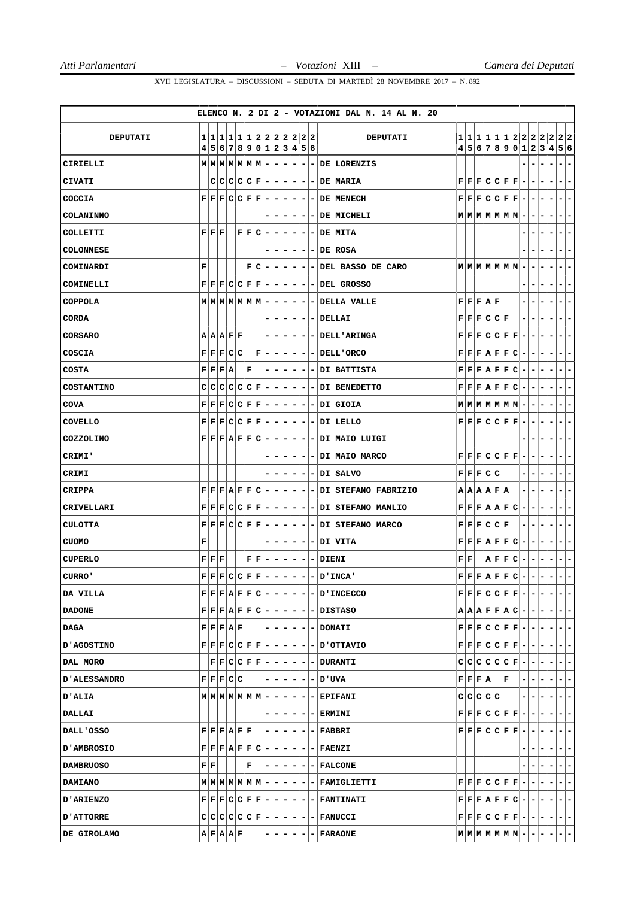|                   |        |                                           |                                               |                             |       |                        |                                                                                                                                 |                          |                              |                          |     |                              |                | ELENCO N. 2 DI 2 - VOTAZIONI DAL N. 14 AL N. 20                                                                                                                                                                |                           |           |                         |                                                                                                                                                                                         |                              |                          |         |                                        |
|-------------------|--------|-------------------------------------------|-----------------------------------------------|-----------------------------|-------|------------------------|---------------------------------------------------------------------------------------------------------------------------------|--------------------------|------------------------------|--------------------------|-----|------------------------------|----------------|----------------------------------------------------------------------------------------------------------------------------------------------------------------------------------------------------------------|---------------------------|-----------|-------------------------|-----------------------------------------------------------------------------------------------------------------------------------------------------------------------------------------|------------------------------|--------------------------|---------|----------------------------------------|
|                   |        |                                           |                                               |                             |       |                        |                                                                                                                                 |                          |                              |                          |     |                              |                |                                                                                                                                                                                                                |                           |           |                         |                                                                                                                                                                                         |                              |                          |         |                                        |
| <b>DEPUTATI</b>   | 1<br>4 |                                           |                                               |                             |       |                        | 1 1 1 1 1 2 2 2 2 2 2 2 2 <br>5 6 7 8 9 0 1 2 3 4 5 6                                                                           |                          |                              |                          |     |                              |                | DEPUTATI                                                                                                                                                                                                       |                           |           |                         | 1 1 1 1 1 1 2 2 2 2 2<br>4 5 6 7 8 9 0 1 2 3 4                                                                                                                                          |                              |                          |         | 2 2<br>5 6                             |
| CIRIELLI          |        |                                           |                                               |                             |       |                        | $M$   $M$   $M$   $M$   $M$   $M$   $-$   $-$                                                                                   |                          |                              | $\overline{ }$           | ۰   | $\overline{\phantom{a}}$     | ۰              | DE LORENZIS                                                                                                                                                                                                    |                           |           |                         |                                                                                                                                                                                         |                              |                          |         | -                                      |
| CIVATI            |        |                                           |                                               |                             |       |                        | $C[C[C]C[E]-[-]$                                                                                                                |                          |                              | $\overline{\phantom{a}}$ | - 1 | ٠                            | -              | DE MARIA                                                                                                                                                                                                       |                           |           |                         | F F F C C F F                                                                                                                                                                           |                              |                          |         | -                                      |
| COCCIA            |        |                                           |                                               |                             |       |                        | $\mathbf{F} \mid \mathbf{F} \mid \mathbf{F} \mid \mathbf{C} \mid \mathbf{C} \mid \mathbf{F} \mid \mathbf{F} \mid - \mid -$      |                          |                              | $\overline{\phantom{a}}$ | Ξ.  | ۰                            |                | DE MENECH                                                                                                                                                                                                      |                           |           |                         | F F F C C F F                                                                                                                                                                           | ۰                            |                          |         | -                                      |
| <b>COLANINNO</b>  |        |                                           |                                               |                             |       |                        |                                                                                                                                 |                          | $\overline{\phantom{a}}$     | $\overline{\phantom{a}}$ | ۰   | $\overline{\phantom{a}}$     | -              | DE MICHELI                                                                                                                                                                                                     |                           |           |                         | $M$ $M$ $M$ $M$ $M$ $M$ $M$ $-$                                                                                                                                                         |                              | $\overline{\phantom{a}}$ | ۰       | Ξ.<br>۰                                |
| COLLETTI          |        | ${\bf F}$ ${\bf F}$ ${\bf F}$             |                                               |                             |       | F F C                  |                                                                                                                                 | $\overline{\phantom{a}}$ | $\overline{\phantom{a}}$     | ۰                        | -   | $\overline{\phantom{a}}$     | ۰              | DE MITA                                                                                                                                                                                                        |                           |           |                         |                                                                                                                                                                                         |                              |                          |         | ۰.<br>-                                |
| <b>COLONNESE</b>  |        |                                           |                                               |                             |       |                        |                                                                                                                                 |                          | -                            |                          | -   |                              |                | DE ROSA                                                                                                                                                                                                        |                           |           |                         |                                                                                                                                                                                         |                              |                          |         | -                                      |
| COMINARDI         | F      |                                           |                                               |                             |       | F C                    |                                                                                                                                 | Ξ.                       | $\overline{\phantom{a}}$     | $\blacksquare$           | - 1 | $\overline{\phantom{a}}$     | - 1            | DEL BASSO DE CARO                                                                                                                                                                                              |                           |           |                         | $M$ $M$ $M$ $M$ $M$ $M$ $M$                                                                                                                                                             | $\overline{a}$               |                          |         | -<br>۰.                                |
| COMINELLI         |        |                                           |                                               | $F$ $F$ $F$ $C$ $C$ $F$ $F$ |       |                        |                                                                                                                                 | $\overline{\phantom{a}}$ | ٠                            | ۰                        | ۰   | $\overline{\phantom{a}}$     | ۰              | DEL GROSSO                                                                                                                                                                                                     |                           |           |                         |                                                                                                                                                                                         |                              |                          |         | -<br>-                                 |
| <b>COPPOLA</b>    |        |                                           |                                               |                             |       |                        | $M$   $M$   $M$   $M$   $M$   $M$   $-$                                                                                         |                          | -                            | ۰                        | -   | ۰                            |                | <b>DELLA VALLE</b>                                                                                                                                                                                             |                           | F F F A F |                         |                                                                                                                                                                                         |                              |                          |         |                                        |
| <b>CORDA</b>      |        |                                           |                                               |                             |       |                        |                                                                                                                                 |                          | $\overline{\phantom{a}}$     | -                        | -   | $\qquad \qquad \blacksquare$ | Ξ.             | DELLAI                                                                                                                                                                                                         |                           |           | $F$ $F$ $F$ $C$ $C$ $F$ |                                                                                                                                                                                         | -                            |                          |         | ۰<br>۰.                                |
| <b>CORSARO</b>    |        |                                           |                                               | A A A F F                   |       |                        |                                                                                                                                 |                          | $\overline{\phantom{a}}$     | ۰                        | ۰   | $\overline{\phantom{a}}$     | ۰              | <b>DELL'ARINGA</b>                                                                                                                                                                                             | FF                        | F         |                         | C C F F                                                                                                                                                                                 | $\overline{\phantom{a}}$     |                          | -       | $\overline{\phantom{a}}$<br>-          |
| COSCIA            |        |                                           |                                               | F F F C C                   |       |                        | $\mathbf F$                                                                                                                     | $\overline{\phantom{a}}$ | -                            | ۰                        | ۰   | ۰                            | -              | DELL'ORCO                                                                                                                                                                                                      |                           |           |                         | $F$ $F$ $F$ $A$ $F$ $F$ $C$                                                                                                                                                             | $\overline{\phantom{a}}$     |                          |         | ۰<br>۰                                 |
| <b>COSTA</b>      |        |                                           | $\mathbf{F} \mathbf{F} \mathbf{F} \mathbf{A}$ |                             |       | F                      |                                                                                                                                 |                          | $\overline{\phantom{a}}$     | -                        | ۰   |                              | Ξ.             | DI BATTISTA                                                                                                                                                                                                    |                           |           |                         | F[F F A F F C]                                                                                                                                                                          | $\overline{\phantom{a}}$     |                          |         | $\overline{\phantom{a}}$<br>۰          |
| <b>COSTANTINO</b> | с      | c                                         |                                               | $ {\bf C} {\bf C} $         | C C F |                        |                                                                                                                                 | ۰                        | -                            | ۰                        | ۰   | ۰                            |                | DI BENEDETTO                                                                                                                                                                                                   |                           |           |                         | $F$ $F$ $F$ $A$ $F$ $F$ $C$                                                                                                                                                             | ۰                            |                          |         | ۳                                      |
| <b>COVA</b>       |        |                                           |                                               | F F F C C F F               |       |                        |                                                                                                                                 | Ξ.                       | ٠                            | ۰                        | ۰.  | ۰                            | ۰.             | DI GIOIA                                                                                                                                                                                                       |                           |           |                         | $M$ $M$ $M$ $M$ $M$ $M$ $M$                                                                                                                                                             | ۰                            | ۰.                       |         | -<br>-                                 |
| COVELLO           |        |                                           |                                               |                             |       |                        | $\mathbf{F} \mid \mathbf{F} \mid \mathbf{F} \mid \mathbf{C} \mid \mathbf{C} \mid \mathbf{F} \mid \mathbf{F} \mid - \mid - \mid$ |                          |                              | $\overline{\phantom{a}}$ | ۰   |                              |                | DI LELLO                                                                                                                                                                                                       |                           |           |                         | F F F C C F F                                                                                                                                                                           | $\overline{\phantom{a}}$     |                          | -       | Ξ.<br>-                                |
| COZZOLINO         |        |                                           |                                               | F F F A F F C               |       |                        |                                                                                                                                 | $\overline{\phantom{a}}$ | $\overline{\phantom{a}}$     | $\overline{\phantom{a}}$ | -   | $\overline{\phantom{a}}$     | -              | DI MAIO LUIGI                                                                                                                                                                                                  |                           |           |                         |                                                                                                                                                                                         |                              |                          |         | -                                      |
| CRIMI'            |        |                                           |                                               |                             |       |                        |                                                                                                                                 |                          | ٠                            | ۰                        | ۰   | ۰                            | -              | DI MAIO MARCO                                                                                                                                                                                                  |                           |           |                         | F F F C C F F                                                                                                                                                                           |                              |                          |         | -                                      |
| CRIMI             |        |                                           |                                               |                             |       |                        |                                                                                                                                 |                          | $\qquad \qquad \blacksquare$ |                          | ۰   |                              |                | DI SALVO                                                                                                                                                                                                       |                           | F F F C C |                         |                                                                                                                                                                                         |                              |                          |         | -<br>$\overline{\phantom{a}}$          |
| <b>CRIPPA</b>     | F      |                                           |                                               | F F A F F C                 |       |                        |                                                                                                                                 | $\overline{a}$           | $\blacksquare$               | ۰                        | -   | $\overline{\phantom{a}}$     | $\blacksquare$ | DI STEFANO FABRIZIO                                                                                                                                                                                            |                           |           | A   A   A   F   A       |                                                                                                                                                                                         | -                            |                          |         | -<br>-                                 |
| CRIVELLARI        |        |                                           |                                               | F F F C C F F               |       |                        |                                                                                                                                 | $\blacksquare$           | $\overline{\phantom{a}}$     | ۰                        | ۰   | ۰                            | ۰.             | <b>DI STEFANO MANLIO</b>                                                                                                                                                                                       |                           |           |                         | F F F A A F C                                                                                                                                                                           |                              |                          |         | -                                      |
| <b>CULOTTA</b>    |        |                                           |                                               | F[F]F[C]C[F]F               |       |                        |                                                                                                                                 | $\overline{a}$           | ٠                            | ۰                        | -   |                              |                | DI STEFANO MARCO                                                                                                                                                                                               |                           |           | F F F C C F             |                                                                                                                                                                                         |                              |                          |         | $\overline{\phantom{a}}$<br>-          |
| <b>CUOMO</b>      | г      |                                           |                                               |                             |       |                        |                                                                                                                                 |                          | -                            | ۰                        | ۰   | $\overline{\phantom{a}}$     | ٠              | DI VITA                                                                                                                                                                                                        |                           |           |                         | F F F A F F C                                                                                                                                                                           | $\overline{\phantom{a}}$     | ۰                        | -       | $\overline{\phantom{a}}$<br>-          |
| <b>CUPERLO</b>    |        | ${\bf F} \,   \, {\bf F} \,   \, {\bf F}$ |                                               |                             |       | ${\bf F} \mid {\bf F}$ |                                                                                                                                 | $\overline{\phantom{a}}$ | $\overline{\phantom{a}}$     | ۰                        | ۰   | $\overline{\phantom{a}}$     | ۰.             | DIENI                                                                                                                                                                                                          | ${\bf F} \,   \, {\bf F}$ |           |                         | A F F C                                                                                                                                                                                 | $\qquad \qquad \blacksquare$ | ۰                        |         | $\overline{\phantom{a}}$<br>۰          |
| CURRO'            |        |                                           |                                               |                             |       |                        | $\mathbf{F} \mathbf{F} \mathbf{F} \mathbf{C} \mathbf{C} \mathbf{F} \mathbf{F} $ –                                               |                          |                              |                          |     |                              |                | D'INCA'                                                                                                                                                                                                        |                           |           |                         | F F F A F F C                                                                                                                                                                           |                              |                          |         |                                        |
| DA VILLA          |        |                                           |                                               |                             |       |                        |                                                                                                                                 |                          |                              |                          |     |                              |                | $F[F E A F F C - - - - - D'INCECCO $                                                                                                                                                                           |                           |           |                         | $\mathbf{F} \left  \mathbf{F} \right  \mathbf{F} \left  \mathbf{C} \right  \mathbf{C} \left  \mathbf{F} \right  \mathbf{F} \left  -   -   -   -   \right $                              |                              |                          |         | $-1-$                                  |
| <b>DADONE</b>     |        |                                           |                                               |                             |       |                        |                                                                                                                                 |                          |                              |                          |     |                              |                | $F F F A F F C - - - - - DISTASO $                                                                                                                                                                             |                           |           |                         | $\mathbf{A} \left[ \mathbf{A} \left[ \mathbf{B} \left[ \mathbf{F} \left[ \mathbf{F} \left[ \mathbf{A} \right] \mathbf{C} \right] - \left[ - \left[ - \right] - \right] \right] \right]$ |                              |                          |         | $ -$                                   |
| DAGA              |        |                                           |                                               | F F F A F                   |       |                        |                                                                                                                                 |                          |                              |                          |     |                              |                | $- - - - - $ DONATI                                                                                                                                                                                            |                           |           |                         | $F[F E C C F F - - -1$                                                                                                                                                                  |                              |                          |         | $-1-$                                  |
| <b>D'AGOSTINO</b> |        |                                           |                                               |                             |       |                        |                                                                                                                                 |                          |                              |                          |     |                              |                | $\mathbf{F} \mathbf{F} \mathbf{F} \mathbf{C} \mathbf{C} \mathbf{F} \mathbf{F} \mathbf{-}  -  - - - - \mathbf{D} \mathbf{O}\mathbf{TTAVIO} $                                                                    |                           |           |                         | $F[F F C C F F - - -$                                                                                                                                                                   |                              |                          |         | $ -$                                   |
| DAL MORO          |        |                                           |                                               |                             |       |                        |                                                                                                                                 |                          |                              |                          |     |                              |                | $\mathbf{F} \mathbf{F} \mathbf{C} \mathbf{C} \mathbf{F} \mathbf{F} \mathbf{-} - - - - $ DURANTI                                                                                                                |                           |           |                         | $c c c c c F - - -$                                                                                                                                                                     |                              |                          |         | $-1-$                                  |
| D'ALESSANDRO      |        |                                           |                                               | F F F C C                   |       |                        |                                                                                                                                 |                          |                              |                          |     |                              |                | - - - - - - UVA                                                                                                                                                                                                |                           | F F F A   |                         | F                                                                                                                                                                                       |                              | $\vert - \vert$          | - 1     | $-1-$                                  |
| <b>D'ALIA</b>     |        |                                           |                                               |                             |       |                        |                                                                                                                                 |                          |                              |                          |     |                              |                | $M$   $M$   $M$   $M$   $M$   $M$   $-$   $-$   $-$   $-$   $-$   $-$   EPIFANI                                                                                                                                |                           |           | c c c c c               |                                                                                                                                                                                         |                              |                          | $-1-1-$ | $-1-$                                  |
| DALLAI            |        |                                           |                                               |                             |       |                        |                                                                                                                                 |                          |                              |                          |     |                              |                | $- - - - - $ ERMINI                                                                                                                                                                                            |                           |           |                         | $\mathbf{F} \left  \mathbf{F} \right  \mathbf{F} \left  \mathbf{C} \right  \mathbf{C} \left  \mathbf{F} \right  \mathbf{F} \left  - \left  - \right  - \right $                         |                              |                          |         | $\blacksquare$<br>$\overline{ }$       |
| DALL'OSSO         |        |                                           |                                               | F F F A F F                 |       |                        |                                                                                                                                 |                          |                              |                          |     |                              |                | $- - - - - $ FABBRI                                                                                                                                                                                            |                           |           |                         | $F[F F C C F F - - -$                                                                                                                                                                   |                              |                          |         | $-1-$                                  |
| D'AMBROSIO        |        |                                           |                                               |                             |       |                        |                                                                                                                                 |                          |                              |                          |     |                              |                | $\mathbf{F} \left  \mathbf{F} \right  \mathbf{F} \left  \mathbf{A} \right  \mathbf{F} \left  \mathbf{F} \right  \mathbf{C} \left  - \left  - \left  - \right  - \left  - \right  \mathbf{F A E N Z I} \right $ |                           |           |                         |                                                                                                                                                                                         |                              | $\blacksquare$           | $-1-$   | $ -$                                   |
| <b>DAMBRUOSO</b>  |        | ${\bf F} \,   \, {\bf F}  $               |                                               |                             |       | $ {\bf F} $            |                                                                                                                                 |                          |                              |                          |     |                              |                | $- - - - - $ FALCONE                                                                                                                                                                                           |                           |           |                         |                                                                                                                                                                                         |                              |                          |         | $\overline{a}$<br>$\overline{ }$       |
| <b>DAMIANO</b>    |        |                                           |                                               |                             |       |                        |                                                                                                                                 |                          |                              |                          |     |                              |                |                                                                                                                                                                                                                |                           |           |                         | $\mathbf{F} \,   \, \mathbf{F} \,   \, \mathbf{F} \,   \, \mathbf{C} \,   \, \mathbf{C} \,   \, \mathbf{F} \,   \, \mathbf{F} \,   \, - \,$                                             |                              |                          | ----    | $ -$                                   |
| <b>D'ARIENZO</b>  |        |                                           |                                               |                             |       |                        |                                                                                                                                 |                          |                              |                          |     |                              |                | $\mathbf{F} \mid \mathbf{F} \mid \mathbf{F} \mid \mathbf{C} \mid \mathbf{C} \mid \mathbf{F} \mid \mathbf{F} \mid - \mid - \mid - \mid - \mid - \mid$ FANTINATI                                                 |                           |           |                         | $\mathbf{F} \left  \mathbf{F} \right  \mathbf{F} \left  \mathbf{A} \right  \mathbf{F} \left  \mathbf{F} \right  \mathbf{C} \left  -   -   -   -   \right $                              |                              |                          |         | $\left\vert -\right\vert -\right\vert$ |
| <b>D'ATTORRE</b>  |        |                                           |                                               |                             |       |                        |                                                                                                                                 |                          |                              |                          |     |                              |                | $C C C C C F - - - - FANUCCI $                                                                                                                                                                                 |                           |           |                         |                                                                                                                                                                                         |                              |                          |         | $F$ $F$ $F$ $C$ $C$ $F$ $F$ $      -$  |
| DE GIROLAMO       |        |                                           |                                               | A F A A F                   |       |                        |                                                                                                                                 |                          |                              |                          |     |                              |                | <b>FARAONE</b>                                                                                                                                                                                                 |                           |           |                         | $\mathbf{M} \mid \mathbf{M} \mid \mathbf{M} \mid \mathbf{M} \mid \mathbf{M} \mid \mathbf{M} \mid - \mid - \mid - \mid -$                                                                |                              |                          |         | $-1-$                                  |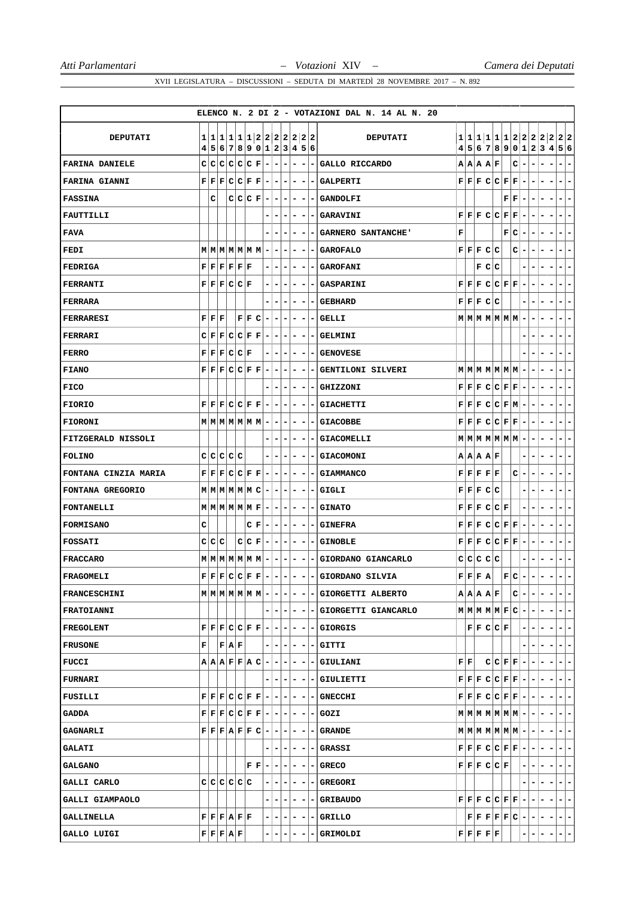|                       |        |   |                                                                                 |       |       |                                                                                                                                                         |         |                          |                          |                |                          |                          | ELENCO N. 2 DI 2 - VOTAZIONI DAL N. 14 AL N. 20                                                                              |   |    |                                                          |               |                                                                                                                                                        |    |                          |                          |                                                                                                                                                                                  |                          |                          |
|-----------------------|--------|---|---------------------------------------------------------------------------------|-------|-------|---------------------------------------------------------------------------------------------------------------------------------------------------------|---------|--------------------------|--------------------------|----------------|--------------------------|--------------------------|------------------------------------------------------------------------------------------------------------------------------|---|----|----------------------------------------------------------|---------------|--------------------------------------------------------------------------------------------------------------------------------------------------------|----|--------------------------|--------------------------|----------------------------------------------------------------------------------------------------------------------------------------------------------------------------------|--------------------------|--------------------------|
|                       |        |   |                                                                                 |       |       |                                                                                                                                                         |         |                          |                          |                |                          |                          |                                                                                                                              |   |    |                                                          |               |                                                                                                                                                        |    |                          |                          |                                                                                                                                                                                  |                          |                          |
| <b>DEPUTATI</b>       | 1<br>4 |   |                                                                                 |       |       | 1 1 1 1 1 2 2 2 2 2 2 2 <br>5 6 7 8 9 0 1 2 3 4 5 6                                                                                                     |         |                          |                          |                |                          |                          | DEPUTATI                                                                                                                     |   |    |                                                          |               |                                                                                                                                                        |    |                          |                          | 1 1 1 1 1 1 2 2 2 2 2 2 2<br>4 5 6 7 8 9 0 1 2 3 4 5 6                                                                                                                           |                          |                          |
| <b>FARINA DANIELE</b> | c      |   | C C C C F                                                                       |       |       |                                                                                                                                                         | $ - -$  |                          | $\overline{\phantom{a}}$ | -              | $\overline{\phantom{a}}$ | ۰                        | GALLO RICCARDO                                                                                                               |   |    | A A A F                                                  |               |                                                                                                                                                        | c  | $\overline{\phantom{a}}$ |                          |                                                                                                                                                                                  |                          |                          |
| <b>FARINA GIANNI</b>  |        |   |                                                                                 |       |       | $\mathbf{F} \,   \, \mathbf{F} \,   \, \mathbf{F} \,   \, \mathbf{C} \,   \, \mathbf{C} \,   \, \mathbf{F} \,   \, \mathbf{F} \,   \, - \,   \, - \,  $ |         |                          | $\vert - \vert$          | - 1            | ٠                        | ۰.                       | <b>GALPERTI</b>                                                                                                              |   |    |                                                          |               | F[F]F[C]C[F]F]                                                                                                                                         |    | $\overline{\phantom{a}}$ | ۰                        | ۰                                                                                                                                                                                | ۰.                       | ۰                        |
| <b>FASSINA</b>        |        | с |                                                                                 |       |       | $C C F - -$                                                                                                                                             |         |                          |                          | -              | ٠                        |                          | <b>GANDOLFI</b>                                                                                                              |   |    |                                                          |               | $\mathbf{F} \mathbf{F} $                                                                                                                               |    |                          |                          |                                                                                                                                                                                  | $\overline{\phantom{a}}$ | -                        |
| <b>FAUTTILLI</b>      |        |   |                                                                                 |       |       |                                                                                                                                                         | -       | н.                       | $\overline{\phantom{a}}$ | -              | $\overline{\phantom{a}}$ | -                        | GARAVINI                                                                                                                     |   |    |                                                          |               | F F F C C F F                                                                                                                                          |    | $\blacksquare$           | $\overline{\phantom{a}}$ | ۰<br>$\overline{\phantom{a}}$                                                                                                                                                    | $\blacksquare$           | -                        |
| <b>FAVA</b>           |        |   |                                                                                 |       |       |                                                                                                                                                         |         | $\overline{\phantom{a}}$ | ۰                        | -              | $\overline{\phantom{a}}$ | ۰                        | GARNERO SANTANCHE'                                                                                                           | F |    |                                                          |               | F C                                                                                                                                                    |    | $\overline{\phantom{a}}$ | ۰                        | ۰<br>۰                                                                                                                                                                           | Ξ.                       | ۰                        |
| FEDI                  |        |   |                                                                                 |       |       | $M$ $M$ $M$ $M$ $M$ $M$ $-$                                                                                                                             |         | ۰                        | ۰                        | ۰              |                          |                          | <b>GAROFALO</b>                                                                                                              |   |    | F F F C C                                                |               |                                                                                                                                                        | cl | $\overline{a}$           |                          |                                                                                                                                                                                  |                          | -                        |
| <b>FEDRIGA</b>        |        |   | $\mathbf{F} \mathbf{F} \mathbf{F} \mathbf{F} \mathbf{F} \mathbf{F}$             |       |       |                                                                                                                                                         |         | -1-                      | $\blacksquare$           | Ξ.             | $\overline{\phantom{a}}$ | ٠                        | <b>GAROFANI</b>                                                                                                              |   |    | F C C                                                    |               |                                                                                                                                                        |    | -                        |                          |                                                                                                                                                                                  | $\overline{\phantom{a}}$ | -                        |
| FERRANTI              |        |   | F F F C C F                                                                     |       |       |                                                                                                                                                         | - 1     | $\overline{\phantom{a}}$ | ۰                        | -              | $\overline{\phantom{a}}$ |                          | <b>GASPARINI</b>                                                                                                             |   |    |                                                          |               | F[F]F[C]C[F]F                                                                                                                                          |    | $\overline{\phantom{a}}$ |                          | -                                                                                                                                                                                | $\overline{\phantom{a}}$ | -                        |
| <b>FERRARA</b>        |        |   |                                                                                 |       |       |                                                                                                                                                         |         |                          |                          | -              | ۰                        |                          | <b>GEBHARD</b>                                                                                                               |   |    | F F F C C                                                |               |                                                                                                                                                        |    |                          |                          |                                                                                                                                                                                  |                          |                          |
| <b>FERRARESI</b>      | F F F  |   |                                                                                 |       | F F C |                                                                                                                                                         | $-1-$   |                          | $\overline{ }$           | $\overline{a}$ | $\overline{\phantom{a}}$ | - 1                      | <b>GELLI</b>                                                                                                                 |   |    |                                                          |               | $M$ $M$ $M$ $M$ $M$ $M$ $M$                                                                                                                            |    | $\overline{\phantom{a}}$ |                          | -                                                                                                                                                                                | $\overline{\phantom{a}}$ | -                        |
| FERRARI               |        |   |                                                                                 |       |       |                                                                                                                                                         |         |                          | ۰                        | ۰              | $\overline{\phantom{a}}$ | -                        | <b>GELMINI</b>                                                                                                               |   |    |                                                          |               |                                                                                                                                                        |    |                          |                          |                                                                                                                                                                                  | $\overline{\phantom{a}}$ | -                        |
| <b>FERRO</b>          |        |   | F F F C C F                                                                     |       |       |                                                                                                                                                         | -       | ٠                        | ۰                        | ۰              | -                        |                          | <b>GENOVESE</b>                                                                                                              |   |    |                                                          |               |                                                                                                                                                        |    |                          |                          |                                                                                                                                                                                  | -                        | ۰                        |
| <b>FIANO</b>          |        |   |                                                                                 |       |       | $\mathbf{F}[\mathbf{F} \mathbf{F} \mathbf{C} \mathbf{C} \mathbf{F} \mathbf{F} \mathbf{F} \mathbf{F}]$                                                   |         |                          | $\overline{\phantom{a}}$ | Ξ.             | $\overline{\phantom{a}}$ | - 1                      | <b>GENTILONI SILVERI</b>                                                                                                     |   |    |                                                          |               | $M$ $M$ $M$ $M$ $M$ $M$ $-$                                                                                                                            |    |                          |                          |                                                                                                                                                                                  | $\overline{\phantom{a}}$ | ۰                        |
| <b>FICO</b>           |        |   |                                                                                 |       |       |                                                                                                                                                         |         | ۰                        | ۰                        | ۰              | -                        | ۰                        | <b>GHIZZONI</b>                                                                                                              |   |    |                                                          |               | F F F C C F F                                                                                                                                          |    | $\overline{\phantom{a}}$ | ۰                        | -                                                                                                                                                                                | ۰                        | ۰                        |
| <b>FIORIO</b>         |        |   |                                                                                 |       |       | $\mathbf{F} \left  \mathbf{F} \right  \mathbf{F} \left  \mathbf{C} \right  \mathbf{C} \left  \mathbf{F} \right  \mathbf{F} \left  - \right  -$          |         |                          | $\overline{\phantom{a}}$ | ۰.             | -                        | -                        | <b>GIACHETTI</b>                                                                                                             |   |    |                                                          |               | $F F F C C F M $ -                                                                                                                                     |    |                          | ۰                        | ۰                                                                                                                                                                                | ۰                        | ۰                        |
| <b>FIORONI</b>        |        |   |                                                                                 |       |       | $M$   $M$   $M$   $M$   $M$   $M$   $-$   $-$                                                                                                           |         |                          | $\overline{\phantom{a}}$ | -              |                          |                          | <b>GIACOBBE</b>                                                                                                              |   |    |                                                          |               | $\mathbf{F} \,   \, \mathbf{F} \,   \, \mathbf{C} \,   \, \mathbf{C} \,   \, \mathbf{F} \,   \, \mathbf{F} \,   \, -$                                  |    |                          |                          | ۰                                                                                                                                                                                | $\blacksquare$           | -                        |
| FITZGERALD NISSOLI    |        |   |                                                                                 |       |       |                                                                                                                                                         |         | $\overline{\phantom{a}}$ | ۰                        | ۰              | $\overline{\phantom{a}}$ | ۰                        | <b>GIACOMELLI</b>                                                                                                            |   |    |                                                          |               | $M$ $M$ $M$ $M$ $M$ $M$ $M$                                                                                                                            |    | $\overline{\phantom{a}}$ | ۰                        | ۰<br>-                                                                                                                                                                           | $\overline{\phantom{a}}$ | ۰                        |
| <b>FOLINO</b>         |        |   | C C C C C                                                                       |       |       |                                                                                                                                                         |         | $\overline{\phantom{a}}$ | ۰                        | ۰              | ۰                        |                          | <b>GIACOMONI</b>                                                                                                             |   |    | A A A F                                                  |               |                                                                                                                                                        |    |                          |                          |                                                                                                                                                                                  |                          | ۰                        |
| FONTANA CINZIA MARIA  |        |   |                                                                                 |       |       | $\mathbf{F} \mid \mathbf{F} \mid \mathbf{F} \mid \mathbf{C} \mid \mathbf{C} \mid \mathbf{F} \mid \mathbf{F} \mid - \mid - \mid - \mid$                  |         |                          |                          | ۰              | $\overline{\phantom{a}}$ |                          | <b>GIAMMANCO</b>                                                                                                             |   |    | F F F F F                                                |               |                                                                                                                                                        | C  | $\overline{\phantom{a}}$ |                          |                                                                                                                                                                                  | $\overline{\phantom{a}}$ | -                        |
| FONTANA GREGORIO      |        |   |                                                                                 |       |       | $M$   $M$   $M$   $M$   $M$   $C$   -  -  -                                                                                                             |         |                          |                          | ۰              | $\overline{\phantom{a}}$ | $\overline{\phantom{a}}$ | <b>GIGLI</b>                                                                                                                 |   |    | F F F C C                                                |               |                                                                                                                                                        |    | -                        |                          |                                                                                                                                                                                  | ۰                        | ۰                        |
| <b>FONTANELLI</b>     |        |   |                                                                                 |       |       | $M$ $M$ $M$ $M$ $M$ $F$ $ -$                                                                                                                            |         |                          | $\overline{\phantom{a}}$ | ۰              | ٠                        |                          | <b>GINATO</b>                                                                                                                |   |    |                                                          | F F F C C F   |                                                                                                                                                        |    |                          |                          |                                                                                                                                                                                  |                          | -                        |
| <b>FORMISANO</b>      | c      |   |                                                                                 |       |       | $C F -1$                                                                                                                                                |         |                          | $-1-$                    | ۰              |                          |                          | <b>GINEFRA</b>                                                                                                               |   |    |                                                          |               | F F F C C F F                                                                                                                                          |    |                          |                          |                                                                                                                                                                                  | $\blacksquare$           | -                        |
| <b>FOSSATI</b>        | c c    |   | c                                                                               |       | C C F |                                                                                                                                                         | $ - - $ |                          | $\overline{a}$           | ۰              | $\overline{\phantom{a}}$ | $\blacksquare$           | <b>GINOBLE</b>                                                                                                               |   |    |                                                          |               | F F F C C F F                                                                                                                                          |    | $\overline{\phantom{a}}$ | ۰                        | -                                                                                                                                                                                | н.                       | ۰                        |
| <b>FRACCARO</b>       |        |   |                                                                                 |       |       | $M$   $M$   $M$   $M$   $M$   $M$   $-$   $-$                                                                                                           |         |                          | ٠                        | Ξ.             | $\overline{\phantom{a}}$ | -                        | GIORDANO GIANCARLO                                                                                                           |   |    | C C C C C                                                |               |                                                                                                                                                        |    |                          |                          |                                                                                                                                                                                  | $\overline{\phantom{a}}$ | ۰                        |
| FRAGOMELI             |        |   | $\mathbf{F} \mathbf{F} \mathbf{F} \mathbf{C} \mathbf{C} \mathbf{F} \mathbf{F} $ |       |       |                                                                                                                                                         |         |                          |                          |                |                          |                          | GIORDANO SILVIA                                                                                                              |   |    | F F F A                                                  |               | $ \mathbf{F} \mathbf{C} $                                                                                                                              |    |                          |                          |                                                                                                                                                                                  |                          |                          |
| <b>FRANCESCHINI</b>   |        |   |                                                                                 |       |       |                                                                                                                                                         |         |                          |                          |                |                          |                          | $M M M M M M $ - - - - - GIORGETTI ALBERTO                                                                                   |   |    |                                                          | A   A   A   F |                                                                                                                                                        |    | $C$ - -                  |                          | $-1$                                                                                                                                                                             | $\blacksquare$           | $\overline{ }$           |
| <b>FRATOIANNI</b>     |        |   |                                                                                 |       |       |                                                                                                                                                         |         |                          |                          |                |                          |                          | - - - - - - GIORGETTI GIANCARLO                                                                                              |   |    |                                                          |               | $M$ $M$ $M$ $M$ $F$ $C$ $-$                                                                                                                            |    |                          | $\overline{\phantom{a}}$ | ۰                                                                                                                                                                                |                          | $ -$                     |
| <b>FREGOLENT</b>      |        |   |                                                                                 |       |       | ${\bf F}  {\bf F}  {\bf F}  {\bf C}  {\bf C}  {\bf F}  {\bf F}   -   -   -  $                                                                           |         |                          |                          |                | $-1-1$                   |                          | - GIORGIS                                                                                                                    |   |    |                                                          | F F C C F     |                                                                                                                                                        |    |                          |                          |                                                                                                                                                                                  |                          | $-1-$                    |
| <b>FRUSONE</b>        | F      |   |                                                                                 | F A F |       |                                                                                                                                                         |         | $- - - - - $             |                          |                |                          |                          | - GITTI                                                                                                                      |   |    |                                                          |               |                                                                                                                                                        |    |                          |                          |                                                                                                                                                                                  |                          | $-1-$                    |
| <b>FUCCI</b>          |        |   |                                                                                 |       |       | ${\bf A} {\bf A} {\bf A} {\bf F} {\bf F} {\bf A} {\bf C} - - - - $                                                                                      |         |                          |                          |                |                          |                          | - GIULIANI                                                                                                                   |   | FF |                                                          |               | $C C F F$ -                                                                                                                                            |    |                          |                          | ۰                                                                                                                                                                                | ÷.                       | $\overline{ }$           |
| <b>FURNARI</b>        |        |   |                                                                                 |       |       |                                                                                                                                                         |         | ----                     |                          |                | $-1-$                    |                          | - GIULIETTI                                                                                                                  |   |    |                                                          |               | $\mathbf{F} \mid \mathbf{F} \mid \mathbf{F} \mid \mathbf{C} \mid \mathbf{C} \mid \mathbf{F} \mid \mathbf{F} \mid -$                                    |    |                          | l – I                    | - 1                                                                                                                                                                              |                          | $-1-$                    |
| FUSILLI               |        |   |                                                                                 |       |       |                                                                                                                                                         |         |                          |                          |                |                          |                          | $\mathbf{F}   \mathbf{F}   \mathbf{F}   \mathbf{C}   \mathbf{C}   \mathbf{F}   \mathbf{F}   -   -   -   -   -   -  $ GNECCHI |   |    |                                                          |               |                                                                                                                                                        |    |                          |                          | $\mathbf{F} \left  \mathbf{F} \right  \mathbf{F} \left  \mathbf{C} \right  \mathbf{C} \left  \mathbf{F} \right  \mathbf{F} \left  - \left  - \right  - \left  - \right  \right)$ |                          | $-1-$                    |
| <b>GADDA</b>          |        |   |                                                                                 |       |       | ${\bf F}[{\bf F}[{\bf F}] {\bf C}] {\bf C}[{\bf F}[{\bf F}] - ] - ] - ] - ] - ]$                                                                        |         |                          |                          |                |                          | н.                       | GOZI                                                                                                                         |   |    |                                                          |               | $M$ $M$ $M$ $M$ $M$ $M$ $M$ $ -$                                                                                                                       |    |                          |                          | $-1$                                                                                                                                                                             | $\overline{\phantom{a}}$ | $\overline{ }$           |
| <b>GAGNARLI</b>       |        |   |                                                                                 |       |       | ${\bf F}   {\bf F}   {\bf F}   {\bf A}   {\bf F}   {\bf F}   {\bf C}   -   -   -   -   -  $                                                             |         |                          |                          |                |                          |                          | - GRANDE                                                                                                                     |   |    |                                                          |               | $\mathbf{M} \mathbf{M} \mathbf{M} \mathbf{M} \mathbf{M} \mathbf{M} \mathbf{M} -\vert -\vert -\vert$                                                    |    |                          |                          |                                                                                                                                                                                  |                          | $-1-$                    |
| <b>GALATI</b>         |        |   |                                                                                 |       |       |                                                                                                                                                         |         | $-1 - 1 - 1$             |                          |                | $-1-1$                   |                          | $ - $ GRASSI                                                                                                                 |   |    |                                                          |               | $\mathbf{F} \left  \mathbf{F} \right  \mathbf{F} \left  \mathbf{C} \right  \mathbf{C} \left  \mathbf{F} \right  \mathbf{F} \left  - \right  - \right $ |    |                          |                          | $-1$                                                                                                                                                                             |                          | $- -$                    |
| <b>GALGANO</b>        |        |   |                                                                                 |       |       | $F F - -$                                                                                                                                               |         |                          | $\overline{ }$           |                | -1-                      | $\overline{\phantom{a}}$ | GRECO                                                                                                                        |   |    |                                                          | F F F C C F   |                                                                                                                                                        |    | $\overline{\phantom{a}}$ |                          |                                                                                                                                                                                  | $\blacksquare$           | $\overline{\phantom{a}}$ |
| GALLI CARLO           |        |   | c c c c c c                                                                     |       |       |                                                                                                                                                         |         | $-1-$                    | $\blacksquare$           |                | $-1-$                    | -                        | <b>GREGORI</b>                                                                                                               |   |    |                                                          |               |                                                                                                                                                        |    |                          |                          |                                                                                                                                                                                  |                          | $- -$                    |
| GALLI GIAMPAOLO       |        |   |                                                                                 |       |       |                                                                                                                                                         |         | $(-)$                    | $\overline{ }$           |                | -1-                      | ٠                        | <b>GRIBAUDO</b>                                                                                                              |   |    |                                                          |               | $\mathbf{F} \,   \, \mathbf{F} \,   \, \mathbf{F} \,   \, \mathbf{C} \,   \, \mathbf{C} \,   \, \mathbf{F} \,   \, \mathbf{F} \,   \, - \,$            |    |                          | $ - - $                  |                                                                                                                                                                                  |                          | $ -$                     |
| <b>GALLINELLA</b>     |        |   | F F F A F F                                                                     |       |       |                                                                                                                                                         |         | -1-1                     | $\overline{ }$           |                |                          | $- - -$                  | GRILLO                                                                                                                       |   |    |                                                          |               |                                                                                                                                                        |    |                          |                          | ${\bf F}  {\bf F}   {\bf F}   {\bf F}   {\bf F}   {\bf C}   -   -   -   -  $                                                                                                     |                          | $- -$                    |
| GALLO LUIGI           |        |   | F F F A F                                                                       |       |       |                                                                                                                                                         |         |                          |                          |                |                          |                          | GRIMOLDI                                                                                                                     |   |    | $\mathbf{F} \mathbf{F} \mathbf{F} \mathbf{F} \mathbf{F}$ |               |                                                                                                                                                        |    |                          |                          |                                                                                                                                                                                  | $\blacksquare$           | H.                       |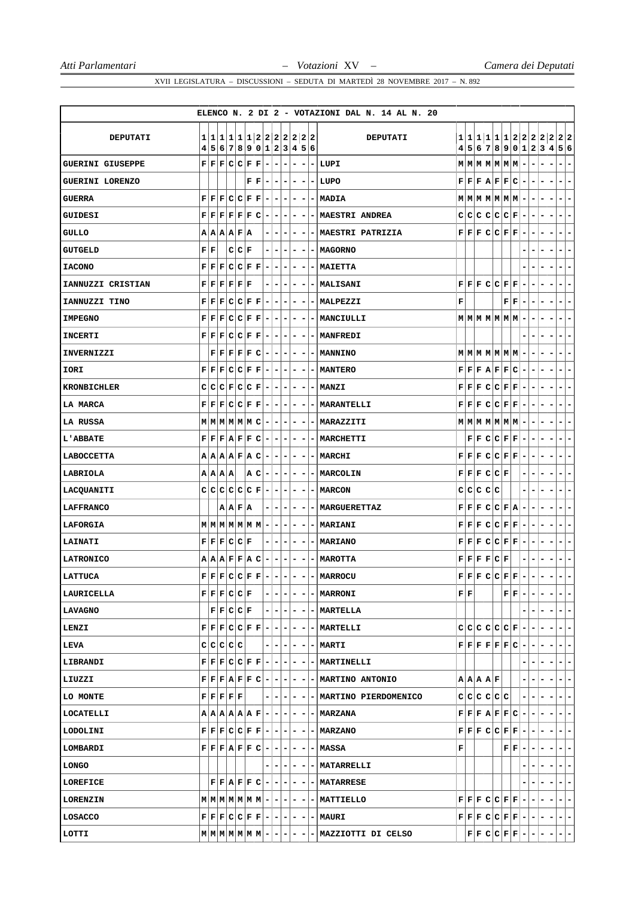|                         |                                                                           |  |                                                                                                                |                        |                                                                                                                                                                   |                          |                          |                          |                              |                          |   | ELENCO N. 2 DI 2 - VOTAZIONI DAL N. 14 AL N. 20 |   |    |               |             |                                                                                                                                              |                              |                              |                                            |                          |                           |
|-------------------------|---------------------------------------------------------------------------|--|----------------------------------------------------------------------------------------------------------------|------------------------|-------------------------------------------------------------------------------------------------------------------------------------------------------------------|--------------------------|--------------------------|--------------------------|------------------------------|--------------------------|---|-------------------------------------------------|---|----|---------------|-------------|----------------------------------------------------------------------------------------------------------------------------------------------|------------------------------|------------------------------|--------------------------------------------|--------------------------|---------------------------|
| DEPUTATI                |                                                                           |  |                                                                                                                |                        | 1 1 1 1 1 1 2 2 2 2 2 2 2 2                                                                                                                                       |                          |                          |                          |                              |                          |   | <b>DEPUTATI</b>                                 |   |    |               |             |                                                                                                                                              |                              |                              |                                            |                          | 1 1 1 1 1 1 2 2 2 2 2 2 2 |
|                         |                                                                           |  |                                                                                                                |                        | 4 5 6 7 8 9 0 1 2 3 4 5 6                                                                                                                                         |                          |                          |                          |                              |                          |   |                                                 |   |    |               |             |                                                                                                                                              |                              |                              |                                            |                          | 4 5 6 7 8 9 0 1 2 3 4 5 6 |
| <b>GUERINI GIUSEPPE</b> |                                                                           |  | ${\tt F}{\tt F}{\tt F}{\tt C}{\tt C}{\tt F}{\tt F}$                                                            |                        |                                                                                                                                                                   | $\overline{\phantom{a}}$ | ۰                        | $\blacksquare$           | $\blacksquare$               | $\overline{\phantom{a}}$ |   | - LUPI                                          |   |    |               |             | $M$ $M$ $M$ $M$ $M$ $M$ $M$                                                                                                                  | -                            |                              | -                                          |                          |                           |
| <b>GUERINI LORENZO</b>  |                                                                           |  |                                                                                                                | ${\bf F} \mid {\bf F}$ |                                                                                                                                                                   | $\overline{\phantom{a}}$ |                          | $-1-$                    | $\overline{\phantom{a}}$     | ۰                        |   | - LUPO                                          |   |    |               |             | $\mathbf{F} \left  \mathbf{F} \right  \mathbf{F} \left  \mathbf{A} \right  \mathbf{F} \left  \mathbf{F} \right  \mathbf{C} \left  - \right.$ |                              | $\qquad \qquad \blacksquare$ | $\overline{\phantom{a}}$                   |                          | $\overline{\phantom{0}}$  |
| <b>GUERRA</b>           |                                                                           |  | ${\bf F} \,   \, {\bf F} \,   \, {\bf C} \,   \, {\bf C} \,   \, {\bf F} \,   \, {\bf F} \,$                   |                        |                                                                                                                                                                   | $\overline{a}$           | $\blacksquare$           | $\overline{ }$           | $\blacksquare$               |                          |   | $-$ - $MADIA$                                   |   |    |               |             | $M$   $M$   $M$   $M$   $M$   $M$   $-$                                                                                                      |                              | ۰                            | $\blacksquare$<br>$\overline{\phantom{a}}$ | ۰                        | -                         |
| GUIDESI                 |                                                                           |  | $\mathbf{F} \,   \, \mathbf{F} \,   \, \mathbf{F} \,   \, \mathbf{F} \,   \, \mathbf{F} \,   \, \mathbf{C}$    |                        |                                                                                                                                                                   | $\overline{\phantom{a}}$ | $\overline{\phantom{a}}$ | ۰                        | ۰                            | $\overline{\phantom{a}}$ |   | - MAESTRI ANDREA                                |   |    |               |             | $C[C[C]C[C]F] -$                                                                                                                             |                              | ۰                            | -                                          |                          | -                         |
| <b>GULLO</b>            |                                                                           |  | A A A F A                                                                                                      |                        |                                                                                                                                                                   | $\overline{\phantom{a}}$ | $\overline{\phantom{a}}$ | ۰                        | ۰                            | ۰                        |   | - MAESTRI PATRIZIA                              |   |    |               |             | F F F C C F F                                                                                                                                |                              |                              |                                            |                          | -                         |
| <b>GUTGELD</b>          | ${\bf F}   {\bf F}$                                                       |  | C C F                                                                                                          |                        |                                                                                                                                                                   | $\overline{\phantom{a}}$ | $\overline{\phantom{a}}$ | $\overline{\phantom{a}}$ | ۰                            | $\blacksquare$           |   | - MAGORNO                                       |   |    |               |             |                                                                                                                                              | -                            |                              |                                            |                          | ۰                         |
| <b>IACONO</b>           | ${\bf F} \mid {\bf F} \mid$                                               |  | F C C F F                                                                                                      |                        |                                                                                                                                                                   | $\overline{a}$           | $\overline{\phantom{a}}$ | $\overline{\phantom{a}}$ | $\qquad \qquad \blacksquare$ | $\overline{\phantom{a}}$ |   | -   MAIETTA                                     |   |    |               |             |                                                                                                                                              |                              |                              | -                                          |                          | -                         |
| IANNUZZI CRISTIAN       |                                                                           |  | ${\bf F} \,   \, {\bf F} \,   \, {\bf F} \,   \, {\bf F} \,   \, {\bf F} \,   \, {\bf F}$                      |                        |                                                                                                                                                                   |                          | $\overline{\phantom{a}}$ |                          | -                            | ۰                        |   | - MALISANI                                      |   |    |               |             | F F F C C F F                                                                                                                                |                              |                              |                                            |                          | -                         |
| IANNUZZI TINO           |                                                                           |  | ${\bf F} \,   \, {\bf F} \,   \, {\bf C} \,   \, {\bf C} \,   \, {\bf F} \,   \, {\bf F}$                      |                        |                                                                                                                                                                   | $\overline{\phantom{a}}$ | $\blacksquare$           | $\overline{\phantom{a}}$ | $\blacksquare$               | $\overline{\phantom{a}}$ |   | - MALPEZZI                                      | F |    |               |             | ${\bf F} \,   \, {\bf F} \,  $                                                                                                               | ۰                            | ۰                            | $\overline{\phantom{a}}$                   |                          | ۰                         |
| <b>IMPEGNO</b>          |                                                                           |  | F F F C C F F                                                                                                  |                        |                                                                                                                                                                   | $\overline{a}$           | $\equiv$                 | $\overline{ }$           | -                            | $\overline{\phantom{a}}$ |   | -   MANCIULLI                                   |   |    |               |             | $M$ $M$ $M$ $M$ $M$ $M$ $M$ $-$                                                                                                              |                              | ۰                            |                                            |                          | -                         |
| <b>INCERTI</b>          |                                                                           |  | F F F C C F F                                                                                                  |                        |                                                                                                                                                                   | $\overline{\phantom{a}}$ | ٠                        | ٠                        | -                            | ۰                        |   | - MANFREDI                                      |   |    |               |             |                                                                                                                                              |                              |                              |                                            |                          | ۳                         |
| <b>INVERNIZZI</b>       |                                                                           |  | F F F F F C                                                                                                    |                        |                                                                                                                                                                   | $\overline{a}$           |                          | $ -$                     | $\blacksquare$               | $\overline{\phantom{a}}$ |   | - MANNINO                                       |   |    |               |             | $M$ $M$ $M$ $M$ $M$ $M$ $-$                                                                                                                  |                              |                              |                                            |                          | -                         |
| IORI                    |                                                                           |  | ${\bf F} \,   \, {\bf F} \,   \, {\bf F} \,   \, {\bf C} \,   \, {\bf C} \,   \, {\bf F} \,   \, {\bf F} \,  $ |                        |                                                                                                                                                                   | $\overline{a}$           | н.                       | $\overline{ }$           | -                            | ۰                        |   | - MANTERO                                       |   |    |               |             | F F F A F F C                                                                                                                                | $\overline{\phantom{a}}$     | ۰                            | -                                          |                          | ۳                         |
| <b>KRONBICHLER</b>      |                                                                           |  | C C C F C C F                                                                                                  |                        |                                                                                                                                                                   | $\overline{a}$           | $\blacksquare$           | $\overline{ }$           | - 1                          | $\overline{\phantom{a}}$ |   | $- $ MANZI                                      |   |    |               |             | $\mathbf{F} \,   \, \mathbf{F} \,   \, \mathbf{F} \,   \, \mathbf{C} \,   \, \mathbf{C} \,   \, \mathbf{F} \,   \, \mathbf{F} \,   \, -$     |                              | ٠                            | ۰.                                         |                          | -                         |
| LA MARCA                |                                                                           |  |                                                                                                                |                        | $\mathbf{F} \,   \, \mathbf{F} \,   \, \mathbf{F} \,   \, \mathbf{C} \,   \, \mathbf{C} \,   \, \mathbf{F} \,   \, \mathbf{F} \,   \, - \,  $                     |                          | $ - -$                   |                          | $\overline{\phantom{a}}$     | $\overline{\phantom{a}}$ |   | -   MARANTELLI                                  |   |    |               |             | $\mathbf{F} \,   \, \mathbf{F} \,   \, \mathbf{C} \,   \, \mathbf{C} \,   \, \mathbf{F} \,   \, \mathbf{F} \,   \, -$                        |                              |                              |                                            |                          | -                         |
| LA RUSSA                |                                                                           |  |                                                                                                                |                        | $M$   $M$   $M$   $M$   $M$   $C$   -  -  -                                                                                                                       |                          |                          |                          | ۰                            | $\overline{\phantom{a}}$ |   | - MARAZZITI                                     |   |    |               |             | $M$ $M$ $M$ $M$ $M$ $M$ $-$                                                                                                                  |                              | ۰                            | $\overline{\phantom{a}}$<br>Ξ.             |                          | -                         |
| <b>L'ABBATE</b>         |                                                                           |  | F F F A F F C                                                                                                  |                        |                                                                                                                                                                   | Ξ.                       | $\overline{\phantom{a}}$ | ۰                        | ۰                            | $\overline{\phantom{a}}$ |   | -   MARCHETTI                                   |   |    |               |             | ${\tt F}   {\tt F}   {\tt C}   {\tt C}   {\tt F}   {\tt F}  $                                                                                | -                            | ۰                            | ۰                                          |                          | ٠                         |
| LABOCCETTA              |                                                                           |  |                                                                                                                |                        | A A A B F A C                                                                                                                                                     | $\blacksquare$           | $\blacksquare$           | $\blacksquare$           | -                            | -                        |   | -   MARCHI                                      |   |    |               |             | F F F C C F F                                                                                                                                | -                            |                              |                                            |                          |                           |
| LABRIOLA                | $A$ $A$ $A$                                                               |  |                                                                                                                |                        | A C                                                                                                                                                               |                          | $-1-1-$                  |                          | - 1                          | $\overline{\phantom{a}}$ |   | - MARCOLIN                                      |   |    |               | F F F C C F |                                                                                                                                              | ۰                            | ۰                            | ۰                                          |                          | ÷                         |
| LACQUANITI              |                                                                           |  | C C C C C F                                                                                                    |                        |                                                                                                                                                                   | $\overline{\phantom{a}}$ | ٠                        | ۰                        | -                            | $\overline{\phantom{a}}$ |   | – I MARCON                                      |   |    | C C C C C     |             |                                                                                                                                              |                              |                              | ۰                                          |                          | -                         |
| <b>LAFFRANCO</b>        |                                                                           |  | A A F A                                                                                                        |                        |                                                                                                                                                                   |                          | $\overline{a}$           | ۰                        | -                            |                          |   | <b>- MARGUERETTAZ</b>                           |   |    |               |             | F F F C C F A                                                                                                                                |                              |                              |                                            |                          |                           |
| LAFORGIA                |                                                                           |  |                                                                                                                |                        | M M M M M M M                                                                                                                                                     |                          |                          |                          | $-1$                         | $\overline{\phantom{a}}$ |   | - MARIANI                                       |   |    |               |             | F F F C C F F                                                                                                                                | $\overline{\phantom{a}}$     | -                            | $\overline{\phantom{a}}$<br>Ξ.             | ۰                        | $\overline{\phantom{0}}$  |
| LAINATI                 |                                                                           |  | F F F C C F                                                                                                    |                        |                                                                                                                                                                   | Ξ.                       | $\overline{a}$           | ۰                        | $\overline{\phantom{a}}$     | $\overline{a}$           |   | - MARIANO                                       |   |    |               |             | $\mathbf{F} \,   \, \mathbf{F} \,   \, \mathbf{C} \,   \, \mathbf{C} \,   \, \mathbf{F} \,   \, \mathbf{F} \,   \, -$                        |                              | ۰                            | ۰<br>-                                     | ۰                        | ۳                         |
| <b>LATRONICO</b>        |                                                                           |  |                                                                                                                |                        | $A A B F F A C -$                                                                                                                                                 |                          | $\overline{\phantom{a}}$ | ۰                        | $\overline{\phantom{a}}$     | $\overline{\phantom{a}}$ |   | - MAROTTA                                       |   |    |               | F F F F C F |                                                                                                                                              |                              |                              |                                            |                          | -                         |
| LATTUCA                 |                                                                           |  |                                                                                                                |                        | $\mathbf{F} \mathbf{F} \mathbf{F} \mathbf{C} \mathbf{C} \mathbf{F} \mathbf{F} \mathbf{-} $                                                                        |                          |                          | $ -$                     | $\overline{\phantom{0}}$     | $\overline{\phantom{a}}$ |   | - MARROCU                                       |   |    |               |             | $F F F C C F F $ -                                                                                                                           |                              | $\overline{\phantom{a}}$     | -<br>$\overline{\phantom{a}}$              | $\blacksquare$           | $\overline{\phantom{0}}$  |
| LAURICELLA              |                                                                           |  | F F F C C F                                                                                                    |                        |                                                                                                                                                                   |                          | $\overline{\phantom{a}}$ | -                        | $\qquad \qquad -$            | $\overline{a}$           | - | <b>MARRONI</b>                                  |   | FF |               |             | $\mathbf{F} \mathbf{F} $                                                                                                                     | $\qquad \qquad \blacksquare$ |                              |                                            |                          | -                         |
| LAVAGNO                 |                                                                           |  | F F C C F                                                                                                      |                        |                                                                                                                                                                   | - 1                      | $\overline{\phantom{a}}$ | ۰                        | ۰                            | ۰                        |   | -   MARTELLA                                    |   |    |               |             |                                                                                                                                              |                              |                              |                                            |                          | ۰                         |
| LENZI                   |                                                                           |  | $F$ $F$ $F$ $C$ $C$ $F$ $F$                                                                                    |                        |                                                                                                                                                                   | $-1$                     | $\left( - \right)$       | $\blacksquare$           | $-1$                         | $\overline{\phantom{a}}$ |   | - MARTELLI                                      |   |    |               |             | C C C C C F                                                                                                                                  | $\overline{\phantom{a}}$     | ۰                            | Ξ.                                         | Ξ.                       | ۰                         |
| LEVA                    | C C C C C                                                                 |  |                                                                                                                |                        |                                                                                                                                                                   | -                        | $\overline{\phantom{a}}$ | ۰                        | ۰                            | -                        |   | - MARTI                                         |   |    |               |             | $\mathbf{F} \,   \, \mathbf{F} \,   \, \mathbf{F} \,   \, \mathbf{F} \,   \, \mathbf{F} \,   \, \mathbf{C} \,  $                             | ۰                            | ۰                            |                                            |                          | $\overline{\phantom{0}}$  |
| LIBRANDI                |                                                                           |  |                                                                                                                |                        | $\mathbf{F} \,   \, \mathbf{F} \,   \, \mathbf{F} \,   \, \mathbf{C} \,   \, \mathbf{C} \,   \, \mathbf{F} \,   \, \mathbf{F} \,   \, - \,  $                     |                          | $\blacksquare$           | $\overline{ }$           | -                            | ۰                        |   | -   MARTINELLI                                  |   |    |               |             |                                                                                                                                              |                              |                              |                                            | ۰                        | -                         |
| LIUZZI                  |                                                                           |  |                                                                                                                |                        | $\mathbf{F} \,   \, \mathbf{F} \,   \, \mathbf{F} \,   \, \mathbf{F} \,   \, \mathbf{F} \,   \, \mathbf{C} \,   \, - \,   \, - \,   \, - \,$                      |                          |                          |                          | $\overline{\phantom{a}}$     |                          |   | --- MARTINO ANTONIO                             |   |    | A   A   A   F |             |                                                                                                                                              |                              |                              |                                            |                          | ۰                         |
| LO MONTE                | ${\bf F} \,   \, {\bf F} \,   \, {\bf F} \,   \, {\bf F} \,   \, {\bf F}$ |  |                                                                                                                |                        |                                                                                                                                                                   | -                        | $\overline{\phantom{a}}$ | ۰                        | ۰.                           | ۰                        |   | - MARTINO PIERDOMENICO                          |   |    |               | cicicicici  |                                                                                                                                              | -                            |                              |                                            |                          | ÷                         |
| LOCATELLI               |                                                                           |  | A A A A A F                                                                                                    |                        |                                                                                                                                                                   |                          | $-1-1-$                  |                          | - 1                          | -                        |   | -   MARZANA                                     |   |    |               |             | F F F A F F C                                                                                                                                | -                            | ٠                            | Ξ.                                         | ۰                        | -                         |
| LODOLINI                |                                                                           |  |                                                                                                                |                        | $\mathbf{F} \,   \, \mathbf{F} \,   \, \mathbf{F} \,   \, \mathbf{C} \,   \, \mathbf{C} \,   \, \mathbf{F} \,   \, \mathbf{F} \,   \, - \,   \, - \,   \, - \,  $ |                          |                          |                          | ۰                            | $\overline{\phantom{a}}$ |   | -   MARZANO                                     |   |    |               |             | $\mathbf{F} \,   \, \mathbf{F} \,   \, \mathbf{F} \,   \, \mathbf{C} \,   \, \mathbf{C} \,   \, \mathbf{F} \,   \, \mathbf{F} \,   \, -$     |                              | ۰                            |                                            |                          | ÷                         |
| LOMBARDI                |                                                                           |  |                                                                                                                |                        | $\mathbf{F} \,   \, \mathbf{F} \,   \, \mathbf{F} \,   \, \mathbf{F} \,   \, \mathbf{F} \,   \, \mathbf{C} \,   \, - \,   \, - \,   \, - \,  $                    |                          |                          |                          | ۰                            | $\overline{\phantom{a}}$ | - | <b>MASSA</b>                                    | F |    |               |             | ${\bf F} \parallel {\bf F} \parallel$                                                                                                        | $\overline{\phantom{a}}$     | ۰                            | -                                          | ۰                        | -                         |
| <b>LONGO</b>            |                                                                           |  |                                                                                                                |                        |                                                                                                                                                                   |                          | $\overline{\phantom{a}}$ | ۰                        | -                            | ٠                        |   | <b>- MATARRELLI</b>                             |   |    |               |             |                                                                                                                                              |                              |                              |                                            |                          | ۰                         |
| LOREFICE                |                                                                           |  |                                                                                                                |                        | $F F A F F C -$                                                                                                                                                   |                          | $\blacksquare$           | ٠                        | -                            | ۰                        |   | <b>- MATARRESE</b>                              |   |    |               |             |                                                                                                                                              |                              |                              |                                            |                          | -                         |
| <b>LORENZIN</b>         |                                                                           |  |                                                                                                                |                        | $M$   $M$   $M$   $M$   $M$   $M$   $-$   $-$   $-$                                                                                                               |                          |                          |                          | ۰                            | $\overline{\phantom{a}}$ |   | -   MATTIELLO                                   |   |    |               |             | F F F C C F F                                                                                                                                | $\overline{\phantom{a}}$     | ۰                            | -                                          | $\overline{\phantom{a}}$ | ۰                         |
| LOSACCO                 |                                                                           |  |                                                                                                                |                        | $\mathbf{F} \,   \, \mathbf{F} \,   \, \mathbf{F} \,   \, \mathbf{C} \,   \, \mathbf{C} \,   \, \mathbf{F} \,   \, \mathbf{F} \,   \, - \,   \, - \,   \, - \,  $ |                          |                          |                          |                              | $-1-$                    |   | -IMAURI                                         |   |    |               |             | $\mathbf{F} \,   \, \mathbf{F} \,   \, \mathbf{F} \,   \, \mathbf{C} \,   \, \mathbf{C} \,   \, \mathbf{F} \,   \, \mathbf{F} \,   \, -$     |                              | ۰.                           | $-1$<br>$\overline{\phantom{a}}$           | ÷.                       | $\overline{ }$            |
| LOTTI                   |                                                                           |  |                                                                                                                |                        | $M$ $M$ $M$ $M$ $M$ $M$ $M$ $-$                                                                                                                                   |                          |                          |                          |                              |                          |   | MAZZIOTTI DI CELSO                              |   |    |               |             | $\mathbf{F} \mathbf{F} \mathbf{C} \mathbf{C} \mathbf{F} \mathbf{F} $ –                                                                       |                              |                              | Ξ                                          |                          | ۰                         |
|                         |                                                                           |  |                                                                                                                |                        |                                                                                                                                                                   |                          |                          |                          |                              |                          |   |                                                 |   |    |               |             |                                                                                                                                              |                              |                              |                                            |                          |                           |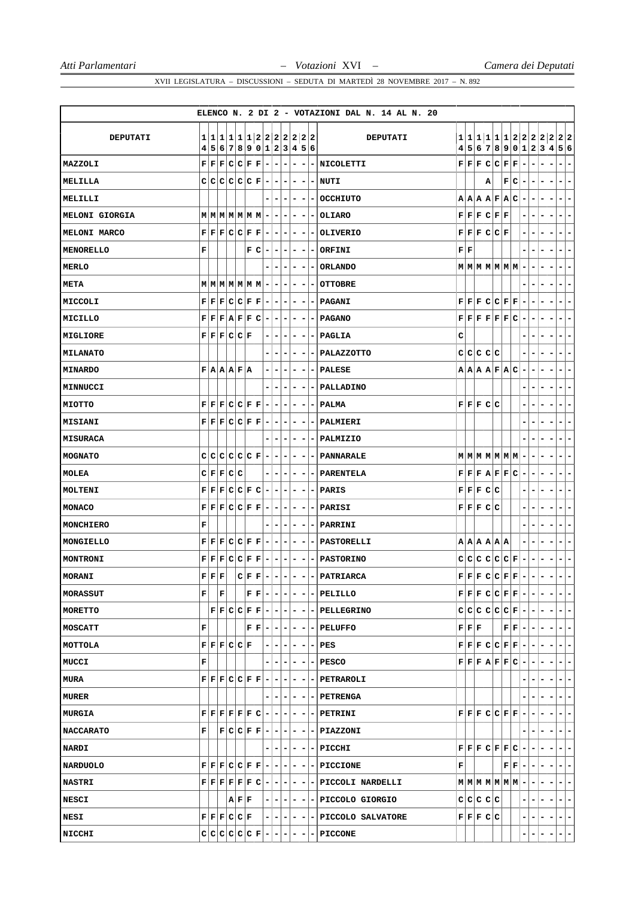|                  |                                                |                                                                                |       |     |                                                                            |                          |                          |                          |                              |                          |                          | ELENCO N. 2 DI 2 - VOTAZIONI DAL N. 14 AL N. 20                                                                                                                              |                           |                                                      |   |                   |                                                                                                                                                                             |                          |                          |                                                      |                          |                          |
|------------------|------------------------------------------------|--------------------------------------------------------------------------------|-------|-----|----------------------------------------------------------------------------|--------------------------|--------------------------|--------------------------|------------------------------|--------------------------|--------------------------|------------------------------------------------------------------------------------------------------------------------------------------------------------------------------|---------------------------|------------------------------------------------------|---|-------------------|-----------------------------------------------------------------------------------------------------------------------------------------------------------------------------|--------------------------|--------------------------|------------------------------------------------------|--------------------------|--------------------------|
| DEPUTATI         |                                                |                                                                                |       |     | 1 1 1 1 1 1 2 2 2 2 2 2 2                                                  |                          |                          |                          |                              |                          |                          | <b>DEPUTATI</b>                                                                                                                                                              |                           |                                                      |   |                   | 1 1 1 1 1 1 2 2 2 2 2 2 2                                                                                                                                                   |                          |                          |                                                      |                          |                          |
|                  |                                                |                                                                                |       |     | 4 5 6 7 8 9 0 1 2 3 4 5 6                                                  |                          |                          |                          |                              |                          |                          |                                                                                                                                                                              |                           |                                                      |   |                   | 4 5 6 7 8 9 0 1 2 3 4 5 6                                                                                                                                                   |                          |                          |                                                      |                          |                          |
| MAZZOLI          |                                                | $F$ $F$ $F$ $C$ $C$ $F$ $F$                                                    |       |     |                                                                            | $\overline{a}$           | $\overline{\phantom{a}}$ | $\overline{\phantom{a}}$ | $\overline{\phantom{a}}$     | -                        |                          | -   NICOLETTI                                                                                                                                                                |                           |                                                      |   |                   | ${\tt F}   {\tt F}   {\tt F}   {\tt C}   {\tt C}   {\tt F}   {\tt F}$                                                                                                       | $\overline{\phantom{a}}$ | ۰                        | -                                                    | $\overline{\phantom{a}}$ | -                        |
| MELILLA          |                                                | C C C C C F                                                                    |       |     |                                                                            | $\overline{a}$           | $\overline{\phantom{a}}$ | ٠                        | -                            |                          |                          | - INUTI                                                                                                                                                                      |                           |                                                      | А |                   | F C                                                                                                                                                                         | $\overline{a}$           |                          | $\qquad \qquad \blacksquare$                         | $\overline{\phantom{a}}$ | -                        |
| MELILLI          |                                                |                                                                                |       |     |                                                                            |                          | $\overline{\phantom{a}}$ | $\overline{\phantom{a}}$ | ۰                            | $\overline{\phantom{a}}$ |                          | - OCCHIUTO                                                                                                                                                                   |                           |                                                      |   |                   | A A A B F A C                                                                                                                                                               | $\overline{\phantom{a}}$ | ۰                        | -                                                    | $\overline{\phantom{a}}$ | -                        |
| MELONI GIORGIA   |                                                | $M$ $M$ $M$ $M$ $M$ $M$ $M$                                                    |       |     |                                                                            | $\blacksquare$           | ۰                        | $\overline{\phantom{a}}$ | $\overline{\phantom{a}}$     | -                        |                          | - OLIARO                                                                                                                                                                     |                           |                                                      |   | F F F C F F       |                                                                                                                                                                             | -                        | -<br>-                   |                                                      | н.                       | -                        |
| MELONI MARCO     |                                                | ${\bf F}  {\bf F}   {\bf F}  {\bf C}   {\bf C}   {\bf F}   {\bf F}$            |       |     |                                                                            | $\blacksquare$           | $\overline{\phantom{a}}$ | $\overline{\phantom{a}}$ | ۰                            |                          |                          | <b>OLIVERIO</b>                                                                                                                                                              |                           |                                                      |   | F F F C C F       |                                                                                                                                                                             |                          |                          |                                                      | $\overline{\phantom{a}}$ | -                        |
| <b>MENORELLO</b> | F                                              |                                                                                |       | F C |                                                                            | $\overline{\phantom{a}}$ | $\overline{\phantom{a}}$ | $\blacksquare$           | ۰                            | $\overline{\phantom{a}}$ | $\overline{\phantom{a}}$ | ORFINI                                                                                                                                                                       | ${\bf F} \,   \, {\bf F}$ |                                                      |   |                   |                                                                                                                                                                             |                          |                          |                                                      | ۰                        | -                        |
| <b>MERLO</b>     |                                                |                                                                                |       |     |                                                                            |                          | $\overline{\phantom{a}}$ |                          | $\qquad \qquad \blacksquare$ | -                        | -                        | <b>ORLANDO</b>                                                                                                                                                               |                           |                                                      |   |                   | $M$ $M$ $M$ $M$ $M$ $M$ $M$                                                                                                                                                 | $\overline{\phantom{a}}$ |                          | -                                                    | $\blacksquare$           | -                        |
| META             |                                                | $M$ $M$ $M$ $M$ $M$ $M$ $M$                                                    |       |     |                                                                            | Ξ.                       | -                        | $\overline{\phantom{a}}$ | ۰                            | ۰                        | -                        | <b>OTTOBRE</b>                                                                                                                                                               |                           |                                                      |   |                   |                                                                                                                                                                             |                          |                          |                                                      | $\blacksquare$           | ۰                        |
| MICCOLI          |                                                | F F F C C F F                                                                  |       |     |                                                                            | $\overline{\phantom{a}}$ | $\overline{\phantom{a}}$ | $\overline{\phantom{a}}$ | -                            | -                        |                          | - PAGANI                                                                                                                                                                     |                           |                                                      |   |                   | ${\tt F}   {\tt F}   {\tt F}   {\tt C}   {\tt C}   {\tt F}   {\tt F}  $                                                                                                     | $\overline{\phantom{a}}$ |                          |                                                      | $\overline{\phantom{a}}$ | -                        |
| MICILLO          |                                                | F F F A F F C                                                                  |       |     |                                                                            | $\overline{\phantom{a}}$ | -                        | ۰                        | -                            | -                        |                          | <b>PAGANO</b>                                                                                                                                                                |                           |                                                      |   |                   | $\mathbf{F} \left  \mathbf{F} \right  \mathbf{F} \left  \mathbf{F} \right  \mathbf{F} \left  \mathbf{C} \right $                                                            | $\overline{\phantom{a}}$ | ۰<br>-                   |                                                      | ۰                        | ۳                        |
| MIGLIORE         |                                                | F F F C C F                                                                    |       |     |                                                                            | Ξ.                       | ۰                        | ۰                        | ۰                            | -                        |                          | - PAGLIA                                                                                                                                                                     | c                         |                                                      |   |                   |                                                                                                                                                                             |                          |                          |                                                      | ۰                        | -                        |
| MILANATO         |                                                |                                                                                |       |     |                                                                            | -                        | $\overline{a}$           |                          | ۰                            |                          |                          | - PALAZZOTTO                                                                                                                                                                 |                           |                                                      |   | C C C C C         |                                                                                                                                                                             |                          |                          |                                                      | Ξ.                       | -                        |
| <b>MINARDO</b>   |                                                | F A A F A                                                                      |       |     |                                                                            | ۰                        | $\overline{\phantom{a}}$ | ۰                        | -                            | -                        |                          | PALESE                                                                                                                                                                       |                           |                                                      |   |                   | A A A F A C                                                                                                                                                                 | $\overline{\phantom{a}}$ |                          | -                                                    | $\overline{\phantom{a}}$ | -                        |
| <b>MINNUCCI</b>  |                                                |                                                                                |       |     |                                                                            |                          | -                        | -                        | -                            | -                        | $\overline{\phantom{a}}$ | PALLADINO                                                                                                                                                                    |                           |                                                      |   |                   |                                                                                                                                                                             |                          |                          |                                                      | ۰                        | ۰                        |
| MIOTTO           |                                                | F F F C C F F                                                                  |       |     |                                                                            | $\overline{\phantom{a}}$ | -                        |                          | ۰                            |                          |                          | - PALMA                                                                                                                                                                      |                           | F F F C C                                            |   |                   |                                                                                                                                                                             |                          |                          |                                                      |                          | -                        |
| <b>MISIANI</b>   |                                                | F F F C C F F                                                                  |       |     |                                                                            | $-1$                     | ٠                        | $\overline{ }$           | ۰                            | ۰                        | $\overline{\phantom{a}}$ | PALMIERI                                                                                                                                                                     |                           |                                                      |   |                   |                                                                                                                                                                             | -                        |                          |                                                      | Ξ.                       | ۰                        |
| <b>MISURACA</b>  |                                                |                                                                                |       |     |                                                                            |                          | $\overline{\phantom{a}}$ | ۰                        | ۰                            | ۰                        | -                        | PALMIZIO                                                                                                                                                                     |                           |                                                      |   |                   |                                                                                                                                                                             |                          |                          |                                                      | $\overline{\phantom{a}}$ | ۰                        |
| <b>MOGNATO</b>   |                                                | C C C C C F                                                                    |       |     |                                                                            | $\overline{\phantom{a}}$ | ۰                        |                          | -                            |                          |                          | <b>PANNARALE</b>                                                                                                                                                             |                           |                                                      |   |                   | $M$ $M$ $M$ $M$ $M$ $M$ $M$                                                                                                                                                 | -                        |                          |                                                      | ۰                        | -                        |
| MOLEA            |                                                | C F F C C                                                                      |       |     |                                                                            | -                        | $\overline{\phantom{a}}$ | $\overline{\phantom{a}}$ | -                            | ۰                        | $\overline{a}$           | <b>PARENTELA</b>                                                                                                                                                             |                           |                                                      |   |                   | F F F A F F C                                                                                                                                                               | $\overline{\phantom{a}}$ | ۰                        | -                                                    | $\blacksquare$           | -                        |
| MOLTENI          |                                                | ${\bf F}   {\bf F}   {\bf F}   {\bf C}   {\bf C}   {\bf F}   {\bf C}$          |       |     |                                                                            | $\overline{\phantom{a}}$ | ۰                        | ۰                        | -                            | -                        | - 1                      | PARIS                                                                                                                                                                        |                           | F F F C C                                            |   |                   |                                                                                                                                                                             | -                        | ۰                        | -                                                    | Ξ.                       | ۳                        |
| MONACO           |                                                | ${\bf F}   {\bf F}   {\bf F}   {\bf C}   {\bf C}   {\bf F}   {\bf F}$          |       |     |                                                                            | ۰                        | -                        | ۰                        | -                            |                          |                          | PARISI                                                                                                                                                                       |                           | F F F C C                                            |   |                   |                                                                                                                                                                             |                          |                          |                                                      |                          | -                        |
| MONCHIERO        | F                                              |                                                                                |       |     |                                                                            |                          | ۰                        | Ξ.                       | ۰                            | ۰                        | $\sim$                   | PARRINI                                                                                                                                                                      |                           |                                                      |   |                   |                                                                                                                                                                             |                          |                          |                                                      | ۰                        | -                        |
| MONGIELLO        |                                                | F F F C C F F                                                                  |       |     |                                                                            | $\overline{\phantom{a}}$ | ۰                        | ۰                        | $\overline{\phantom{a}}$     | ۰                        |                          | - PASTORELLI                                                                                                                                                                 |                           |                                                      |   | A   A   A   A   A |                                                                                                                                                                             | -                        | ۰                        | -<br>-                                               | ٠                        | ۰                        |
| MONTRONI         |                                                | ${\tt F}   {\tt F}   {\tt F}   {\tt C}   {\tt C}   {\tt F}   {\tt F}$          |       |     |                                                                            | $\overline{\phantom{a}}$ | ۰                        | $\overline{\phantom{a}}$ | -                            | ۰                        |                          | <b>- PASTORINO</b>                                                                                                                                                           |                           |                                                      |   |                   | $ {\tt c} {\tt c} {\tt c} {\tt c} {\tt c} {\tt F} $                                                                                                                         | $\overline{\phantom{a}}$ |                          |                                                      |                          | -                        |
| MORANI           | ${\bf F} \,   \, {\bf F} \,   \, {\bf F} \,  $ |                                                                                |       |     | $ C F F -$                                                                 |                          | $\overline{\phantom{a}}$ | $\overline{a}$           | $\overline{\phantom{a}}$     | ٠                        |                          | $-$ PATRIARCA                                                                                                                                                                |                           |                                                      |   |                   | $\mathbf{F} \mathbf{F} \mathbf{F} \mathbf{C} \mathbf{C} \mathbf{F} \mathbf{F} $                                                                                             | $\overline{\phantom{a}}$ | $\overline{\phantom{a}}$ | $\overline{\phantom{a}}$<br>$\overline{\phantom{a}}$ | $\overline{a}$           | $\overline{\phantom{m}}$ |
| MORASSUT         | F                                              | F                                                                              |       |     | $\mathbf{F} \left[ \mathbf{F} \left  - \left  - \right  - \right  \right]$ |                          |                          |                          | $-1$                         | $\blacksquare$           |                          | - PELILLO                                                                                                                                                                    |                           |                                                      |   |                   | ${\bf F}  {\bf F}   {\bf F}  {\bf C}  {\bf C}   {\bf F}   {\bf F}   -   -   -   -  $                                                                                        |                          |                          |                                                      | $\blacksquare$           | $\overline{a}$           |
| MORETTO          |                                                |                                                                                |       |     |                                                                            |                          |                          |                          |                              |                          |                          | $\lvert \mathbf{F} \rvert \mathbf{F} \lvert \mathbf{C} \lvert \mathbf{C} \lvert \mathbf{F} \lvert \mathbf{F} \lvert - \lvert - \lvert - \lvert - \lvert - \lvert$ PELLEGRINO |                           |                                                      |   |                   | $ c c c c c F $ - - - -                                                                                                                                                     |                          |                          |                                                      |                          | $\vert - \vert -$        |
| MOSCATT          | F                                              |                                                                                |       |     |                                                                            |                          |                          |                          |                              |                          |                          | $F F - - - - - PELUFFO$                                                                                                                                                      |                           | $\mathbf{F} \vert \mathbf{F} \vert \mathbf{F} \vert$ |   |                   | $ {\bf F}  {\bf F} - - - - $                                                                                                                                                |                          |                          |                                                      |                          | $-1-$                    |
| MOTTOLA          |                                                | ${\bf F} \,   \, {\bf F} \,   \, {\bf C} \,   \, {\bf C} \,   \, {\bf F} \,  $ |       |     |                                                                            |                          | $- - - $                 |                          |                              |                          |                          | $- - - PES $                                                                                                                                                                 |                           |                                                      |   |                   | ${\bf F}  {\bf F}   {\bf F}  {\bf C}  {\bf C}   {\bf F}   {\bf F}   -   -   -   -  $                                                                                        |                          |                          |                                                      |                          | $ -$                     |
| MUCCI            | F                                              |                                                                                |       |     |                                                                            |                          |                          |                          |                              |                          |                          | $- - - - - $ PESCO                                                                                                                                                           |                           |                                                      |   |                   | $\mathbf{F} \,   \, \mathbf{F} \,   \, \mathbf{F} \,   \, \mathbf{A} \,   \, \mathbf{F} \,   \, \mathbf{F} \,   \, \mathbf{C} \,   \, - \,   \, - \,   \, - \,   \, - \,  $ |                          |                          |                                                      |                          | $-1-$                    |
| MURA             |                                                |                                                                                |       |     |                                                                            |                          |                          |                          |                              |                          |                          | $\mathbf{F} \mathbf{F} \mathbf{F} \mathbf{C} \mathbf{C} \mathbf{F} \mathbf{F} - - - - - $ PETRAROLI                                                                          |                           |                                                      |   |                   |                                                                                                                                                                             |                          |                          | $-1$                                                 |                          | $- -$                    |
| <b>MURER</b>     |                                                |                                                                                |       |     |                                                                            |                          | ----                     |                          |                              |                          |                          | $- - $ PETRENGA                                                                                                                                                              |                           |                                                      |   |                   |                                                                                                                                                                             |                          |                          |                                                      | $\blacksquare$           | $\overline{\phantom{a}}$ |
| <b>MURGIA</b>    |                                                |                                                                                |       |     |                                                                            |                          |                          |                          |                              |                          |                          | $\mathbf{F} \, \, \mathbf{F} \, \, \mathbf{F} \, \, \mathbf{F} \, \, \mathbf{F} \, \, \mathbf{C} \, \, - \, \, - \, \, - \, \, - \, \, - \, \, \, \mathbf{PETRINI}$          |                           |                                                      |   |                   | $\mathbf{F} \,   \, \mathbf{F} \,   \, \mathbf{F} \,   \, \mathbf{C} \,   \, \mathbf{C} \,   \, \mathbf{F} \,   \, \mathbf{F} \,   \, -$                                    |                          | $\blacksquare$           | - 1                                                  |                          | $-1-$                    |
| <b>NACCARATO</b> | F                                              |                                                                                |       |     |                                                                            |                          |                          |                          |                              |                          |                          | $F C C F F - - - - - PIAZZONI$                                                                                                                                               |                           |                                                      |   |                   |                                                                                                                                                                             |                          |                          |                                                      |                          | $ -$                     |
| <b>NARDI</b>     |                                                |                                                                                |       |     |                                                                            |                          |                          |                          |                              |                          |                          | - - - - - - PICCHI                                                                                                                                                           |                           |                                                      |   |                   | ${\bf F}  {\bf F}   {\bf F}  {\bf C}   {\bf F}   {\bf F}  {\bf C}   -   -   -   -  $                                                                                        |                          |                          |                                                      |                          | $-1-$                    |
| <b>NARDUOLO</b>  |                                                |                                                                                |       |     |                                                                            |                          |                          |                          |                              |                          |                          | $\mathbf{F} \mathbf{F} \mathbf{F} \mathbf{C} \mathbf{C} \mathbf{F} \mathbf{F} \mathbf{-} \mathbf{-} \mathbf{-} \mathbf{-} \mathbf{-} \mathbf{PICCIONE}$                      | F                         |                                                      |   |                   | $\mathbf{F} \mid \mathbf{F} \mid -$                                                                                                                                         |                          |                          | $ - - -$                                             |                          | $-1-$                    |
| <b>NASTRI</b>    |                                                |                                                                                |       |     |                                                                            |                          |                          |                          |                              |                          |                          | $\mathbf{F} \mathbf{F} \mathbf{F} \mathbf{F} \mathbf{F} \mathbf{F} \mathbf{C} - - - - - $ PICCOLI NARDELLI                                                                   |                           |                                                      |   |                   | $M$   $M$   $M$   $M$   $M$   $M$   $-$                                                                                                                                     |                          | $ - - $                  |                                                      |                          | $=$ $=$                  |
| <b>NESCI</b>     |                                                |                                                                                | A F F |     |                                                                            |                          |                          |                          |                              |                          |                          | $- - - - - $ PICCOLO GIORGIO                                                                                                                                                 |                           |                                                      |   | c c c c c         |                                                                                                                                                                             | ۰                        | $\overline{\phantom{a}}$ | $-1-$                                                |                          | $- -$                    |
| <b>NESI</b>      |                                                | $\mathbf{F} \mathbf{F} \mathbf{F} \mathbf{C} \mathbf{C} \mathbf{F} $           |       |     |                                                                            |                          |                          |                          |                              |                          |                          | $- - - - - $ PICCOLO SALVATORE                                                                                                                                               |                           |                                                      |   | F F F C C         |                                                                                                                                                                             | $\overline{\phantom{a}}$ | ٠                        | - -                                                  |                          | $- -$                    |
| NICCHI           |                                                |                                                                                |       |     | $c c c c c F - - - - $                                                     |                          |                          |                          |                              |                          |                          | $-$ PICCONE                                                                                                                                                                  |                           |                                                      |   |                   |                                                                                                                                                                             |                          |                          |                                                      |                          |                          |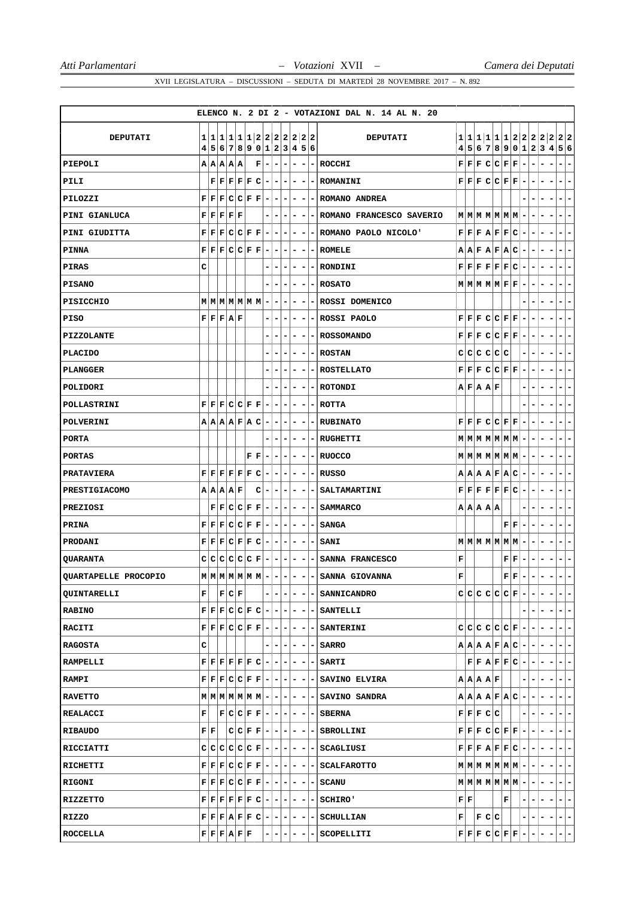|                      |   |                                |                                                                                                                                                |       |                                                                                  |                          |   |                              |                              |                          |                                                     | ELENCO N. 2 DI 2 - VOTAZIONI DAL N. 14 AL N. 20 |   |                                |           |                   |                                                                                                                                                |                |                          |                          |                          |                                                        |
|----------------------|---|--------------------------------|------------------------------------------------------------------------------------------------------------------------------------------------|-------|----------------------------------------------------------------------------------|--------------------------|---|------------------------------|------------------------------|--------------------------|-----------------------------------------------------|-------------------------------------------------|---|--------------------------------|-----------|-------------------|------------------------------------------------------------------------------------------------------------------------------------------------|----------------|--------------------------|--------------------------|--------------------------|--------------------------------------------------------|
| DEPUTATI             | 1 |                                |                                                                                                                                                |       |                                                                                  |                          |   |                              |                              |                          | 1 1 1 1 1 2 2 2 2 2 2 <br>4 5 6 7 8 9 0 1 2 3 4 5 6 | <b>DEPUTATI</b>                                 |   |                                |           |                   |                                                                                                                                                |                |                          |                          |                          | 1 1 1 1 1 1 2 2 2 2 2 2 2<br>4 5 6 7 8 9 0 1 2 3 4 5 6 |
| PIEPOLI              |   |                                | A A A A                                                                                                                                        |       | $\mathbf F$                                                                      | $\overline{\phantom{a}}$ | - | ۰                            | $\overline{\phantom{a}}$     | -                        | -                                                   | <b>ROCCHI</b>                                   |   |                                |           |                   | F F F C C F F                                                                                                                                  | -              |                          |                          |                          |                                                        |
| PILI                 |   |                                | F[F]F[F]C                                                                                                                                      |       |                                                                                  | $\overline{\phantom{a}}$ | - |                              |                              | -                        |                                                     | <b>ROMANINI</b>                                 |   |                                |           |                   | F F F C C F F                                                                                                                                  | $\overline{a}$ |                          |                          |                          | -                                                      |
| PILOZZI              |   |                                | F F F C C F F                                                                                                                                  |       |                                                                                  | $\overline{\phantom{a}}$ | ۰ | $\qquad \qquad \blacksquare$ | $\overline{\phantom{a}}$     | $\overline{\phantom{a}}$ | $\vert - \vert$                                     | ROMANO ANDREA                                   |   |                                |           |                   |                                                                                                                                                |                |                          |                          |                          | -                                                      |
| PINI GIANLUCA        |   |                                | ${\bf F} \,   \, {\bf F} \,   \, {\bf F} \,   \, {\bf F} \,   \, {\bf F}$                                                                      |       |                                                                                  |                          | - |                              | $\overline{\phantom{a}}$     |                          |                                                     | ROMANO FRANCESCO SAVERIO                        |   |                                |           |                   | $M$ $M$ $M$ $M$ $M$ $M$                                                                                                                        |                |                          |                          |                          |                                                        |
| PINI GIUDITTA        |   |                                | F F F C C F F                                                                                                                                  |       |                                                                                  |                          |   |                              |                              |                          |                                                     | ROMANO PAOLO NICOLO'                            |   |                                |           |                   | F F F A F F C                                                                                                                                  |                |                          |                          |                          | -                                                      |
| PINNA                |   |                                | ${\bf F}  {\bf F}   {\bf F}  {\bf C}   {\bf C}   {\bf F}   {\bf F}$                                                                            |       |                                                                                  | $\overline{\phantom{a}}$ | - | $\qquad \qquad \blacksquare$ | $\overline{\phantom{a}}$     | -                        | $\blacksquare$                                      | <b>ROMELE</b>                                   |   |                                |           |                   | A A F A F A C                                                                                                                                  | -              | ۰                        |                          |                          | -                                                      |
| PIRAS                | c |                                |                                                                                                                                                |       |                                                                                  |                          | - | -                            | $\qquad \qquad \blacksquare$ | -                        |                                                     | RONDINI                                         |   |                                |           |                   | $\mathbf{F} \,   \, \mathbf{F} \,   \, \mathbf{F} \,   \, \mathbf{F} \,   \, \mathbf{F} \,   \, \mathbf{C}$                                    | -              |                          |                          | -                        | -                                                      |
| <b>PISANO</b>        |   |                                |                                                                                                                                                |       |                                                                                  |                          |   |                              |                              |                          |                                                     | <b>ROSATO</b>                                   |   |                                |           |                   | $M$ $M$ $M$ $M$ $F$ $F$                                                                                                                        |                |                          |                          |                          | -                                                      |
| PISICCHIO            |   |                                | $M$ $M$ $M$ $M$ $M$ $M$ $M$                                                                                                                    |       |                                                                                  | $\overline{\phantom{a}}$ | - | ۰                            | $\overline{\phantom{a}}$     | -                        | $\overline{\phantom{a}}$                            | ROSSI DOMENICO                                  |   |                                |           |                   |                                                                                                                                                |                |                          |                          |                          | ۰                                                      |
| <b>PISO</b>          |   |                                | F F F A F                                                                                                                                      |       |                                                                                  | -                        | - |                              |                              | -                        |                                                     | ROSSI PAOLO                                     |   |                                |           |                   | $F$ $F$ $F$ $C$ $C$ $F$ $F$                                                                                                                    | -              |                          |                          |                          | -                                                      |
| <b>PIZZOLANTE</b>    |   |                                |                                                                                                                                                |       |                                                                                  |                          |   |                              | -                            | -                        |                                                     | <b>ROSSOMANDO</b>                               |   |                                |           |                   | F F F C C F F                                                                                                                                  |                |                          |                          |                          | -                                                      |
| <b>PLACIDO</b>       |   |                                |                                                                                                                                                |       |                                                                                  |                          |   |                              |                              | -                        | $\qquad \qquad \blacksquare$                        | <b>ROSTAN</b>                                   |   |                                |           | C C C C C C       |                                                                                                                                                |                |                          |                          |                          |                                                        |
| <b>PLANGGER</b>      |   |                                |                                                                                                                                                |       |                                                                                  |                          |   |                              |                              |                          |                                                     | <b>ROSTELLATO</b>                               |   |                                |           |                   | F F F C C F F                                                                                                                                  |                |                          |                          |                          | ۳                                                      |
| POLIDORI             |   |                                |                                                                                                                                                |       |                                                                                  |                          |   |                              |                              | -                        |                                                     | <b>ROTONDI</b>                                  |   |                                | A F A A F |                   |                                                                                                                                                |                |                          |                          |                          | ۰                                                      |
| POLLASTRINI          |   |                                | F F F C C F F                                                                                                                                  |       |                                                                                  | $\overline{\phantom{a}}$ |   |                              |                              | -                        |                                                     | <b>ROTTA</b>                                    |   |                                |           |                   |                                                                                                                                                |                |                          |                          |                          | -                                                      |
| POLVERINI            |   |                                | A A A F A C                                                                                                                                    |       |                                                                                  | $\overline{\phantom{a}}$ | - | ۰                            | ۰                            | -                        |                                                     | <b>RUBINATO</b>                                 |   |                                |           |                   | F F F C C F F                                                                                                                                  | -              |                          |                          |                          | -                                                      |
| <b>PORTA</b>         |   |                                |                                                                                                                                                |       |                                                                                  |                          |   |                              |                              | -                        |                                                     | <b>RUGHETTI</b>                                 |   |                                |           |                   | $M$ $M$ $M$ $M$ $M$ $M$ $M$                                                                                                                    |                |                          |                          |                          |                                                        |
| <b>PORTAS</b>        |   |                                |                                                                                                                                                |       | ${\bf F} \,   \, {\bf F}$                                                        |                          |   |                              |                              |                          |                                                     | <b>RUOCCO</b>                                   |   |                                |           |                   | $M$ $M$ $M$ $M$ $M$ $M$ $M$                                                                                                                    |                |                          |                          |                          |                                                        |
| <b>PRATAVIERA</b>    |   |                                | $\mathbf{F} \,   \, \mathbf{F} \,   \, \mathbf{F} \,   \, \mathbf{F} \,   \, \mathbf{F} \,   \, \mathbf{C}$                                    |       |                                                                                  | $\overline{\phantom{a}}$ | - | ۰                            | ۰                            | -                        |                                                     | <b>RUSSO</b>                                    |   |                                |           |                   | A A A B F A C                                                                                                                                  | -              | ۰                        | ۰                        |                          | -                                                      |
| PRESTIGIACOMO        |   |                                | A A A A F                                                                                                                                      |       | с                                                                                | $\overline{\phantom{a}}$ | - |                              | ۰                            | ۰                        |                                                     | <b>SALTAMARTINI</b>                             |   |                                |           |                   | F F F F F F C                                                                                                                                  | ۰              |                          |                          |                          | -                                                      |
| PREZIOSI             |   |                                | F[F C C F F]                                                                                                                                   |       |                                                                                  |                          |   |                              |                              |                          |                                                     | <b>SAMMARCO</b>                                 |   |                                | A A A A   |                   |                                                                                                                                                |                |                          |                          |                          |                                                        |
| <b>PRINA</b>         |   |                                | F F F C C F F                                                                                                                                  |       |                                                                                  | $\overline{\phantom{a}}$ | ۰ | ۰                            | $\overline{\phantom{a}}$     | -                        | - 1                                                 | <b>SANGA</b>                                    |   |                                |           |                   | FF                                                                                                                                             |                |                          |                          |                          | -                                                      |
| PRODANI              |   |                                | F F F C F F C                                                                                                                                  |       |                                                                                  | $\overline{\phantom{a}}$ | ۰ | ۰                            | $\overline{\phantom{a}}$     | ۰                        | ۰                                                   | SANI                                            |   |                                |           |                   | $M$ $M$ $M$ $M$ $M$ $M$ $M$                                                                                                                    |                |                          |                          |                          | -                                                      |
| <b>QUARANTA</b>      |   |                                | $C C C C C C F $                                                                                                                               |       |                                                                                  |                          |   |                              |                              |                          |                                                     | SANNA FRANCESCO                                 | F |                                |           |                   | ${\bf F} \,   \, {\bf F} \,$                                                                                                                   |                |                          |                          |                          |                                                        |
| QUARTAPELLE PROCOPIO |   |                                | $M$ $M$ $M$ $M$ $M$ $M$ $M$                                                                                                                    |       |                                                                                  | $\overline{a}$           | - | $\overline{\phantom{a}}$     | $\overline{\phantom{a}}$     | -                        |                                                     | - SANNA GIOVANNA                                | F |                                |           |                   | ${\bf F} \,   \, {\bf F} \,$                                                                                                                   | -              | $\overline{\phantom{a}}$ | ۰                        | -                        | Ξ.<br>$\overline{\phantom{0}}$                         |
| <b>QUINTARELLI</b>   | F |                                |                                                                                                                                                | F C F |                                                                                  |                          |   | $-1-$                        | $\overline{\phantom{0}}$     | $\sim$                   | $\overline{a}$                                      | <b>SANNICANDRO</b>                              |   |                                |           |                   | $C[C[C]C[C]F] -$                                                                                                                               |                |                          |                          | $\overline{\phantom{a}}$ | ۰                                                      |
| <b>RABINO</b>        |   |                                | $F F F C C F C - - - $                                                                                                                         |       |                                                                                  |                          |   |                              | $\overline{a}$               |                          |                                                     | $- - $ SANTELLI                                 |   |                                |           |                   |                                                                                                                                                |                |                          |                          |                          | -                                                      |
| <b>RACITI</b>        |   |                                | ${\bf F}  {\bf F}   {\bf F}  {\bf C}  {\bf C}   {\bf F}   {\bf F}   -   -   -   -  $                                                           |       |                                                                                  |                          |   |                              |                              |                          |                                                     | $- - $ SANTERINI                                |   |                                |           |                   | c c c c c c F -                                                                                                                                |                | - I                      | $\overline{\phantom{0}}$ |                          | - 1<br>l –                                             |
| <b>RAGOSTA</b>       | c |                                |                                                                                                                                                |       |                                                                                  |                          |   | $-1-$                        | $-1$                         | Ξ.                       |                                                     | - SARRO                                         |   |                                |           |                   | $A A A F A C -$                                                                                                                                |                | ٠                        | $\overline{\phantom{0}}$ |                          | $\overline{\phantom{a}}$                               |
| <b>RAMPELLI</b>      |   |                                | $\mathbf{F} \,   \, \mathbf{F} \,   \, \mathbf{F} \,   \, \mathbf{F} \,   \, \mathbf{F} \,   \, \mathbf{C} \,   \, - \,   \, - \,   \, - \,  $ |       |                                                                                  |                          |   |                              | $-1$                         | Ξ.                       | н.                                                  | <b>SARTI</b>                                    |   |                                |           |                   | $F F A F F C$ -                                                                                                                                |                | ٠                        |                          | $\overline{\phantom{a}}$ | -                                                      |
| <b>RAMPI</b>         |   |                                | ${\bf F}  {\bf F}   {\bf F}   {\bf C}   {\bf C}   {\bf F}   {\bf F}   -   -   -   -  $                                                         |       |                                                                                  |                          |   |                              |                              |                          |                                                     | $- - $ SAVINO ELVIRA                            |   |                                |           | A   A   A   A   F |                                                                                                                                                |                |                          |                          |                          | l –                                                    |
| <b>RAVETTO</b>       |   |                                | $M$   M   M   M   M   M   M   -   -   -                                                                                                        |       |                                                                                  |                          |   |                              |                              |                          |                                                     | $- - $ SAVINO SANDRA                            |   |                                |           |                   | $A A A F A C$ -                                                                                                                                |                |                          |                          |                          | ÷                                                      |
| REALACCI             | F |                                | $ F C C F F - - - $                                                                                                                            |       |                                                                                  |                          |   |                              |                              | $\overline{\phantom{a}}$ |                                                     | -   SBERNA                                      |   |                                |           | F F F C C         |                                                                                                                                                |                |                          |                          |                          | ۰.<br>-                                                |
| RIBAUDO              |   | ${\bf F} \,   \, {\bf F} \,  $ |                                                                                                                                                |       | $ \mathbf{C} \mathbf{C} \mathbf{F} \mathbf{F} \mathbf{-} \mathbf{-} \mathbf{-} $ |                          |   |                              | $\overline{\phantom{0}}$     | $\overline{\phantom{a}}$ |                                                     | - SBROLLINI                                     |   |                                |           |                   | $\mathbf{F} \left  \mathbf{F} \right  \mathbf{F} \left  \mathbf{C} \right  \mathbf{C} \left  \mathbf{F} \right  \mathbf{F} \left  - \right $   |                | ٠                        |                          |                          | $-1-$                                                  |
| RICCIATTI            |   |                                | $C C C C C F - - - - $                                                                                                                         |       |                                                                                  |                          |   |                              |                              |                          | $\overline{ }$                                      | SCAGLIUSI                                       |   |                                |           |                   | $\mathbf{F} \left  \mathbf{F} \right  \mathbf{F} \left  \mathbf{A} \right  \mathbf{F} \left  \mathbf{F} \right  \mathbf{C} \left  - \right  -$ |                |                          | $\overline{\phantom{0}}$ | $\overline{\phantom{a}}$ | $\overline{\phantom{a}}$                               |
| RICHETTI             |   |                                | ${\bf F}   {\bf F}   {\bf F}   {\bf C}   {\bf C}   {\bf F}   {\bf F}   -   -   -   -  $                                                        |       |                                                                                  |                          |   |                              |                              | $\overline{\phantom{a}}$ |                                                     | - SCALFAROTTO                                   |   |                                |           |                   | $M$ $M$ $M$ $M$ $M$ $M$ $ -$                                                                                                                   |                |                          | $\overline{\phantom{0}}$ |                          | -                                                      |
| RIGONI               |   |                                | $\mathbf{F} \mid \mathbf{F} \mid \mathbf{F} \mid \mathbf{C} \mid \mathbf{C} \mid \mathbf{F} \mid \mathbf{F} \mid - \mid$                       |       |                                                                                  |                          |   | $ -$                         |                              |                          |                                                     | <b>SCANU</b>                                    |   |                                |           |                   | $M$ $M$ $M$ $M$ $M$ $M$ $-$                                                                                                                    |                |                          |                          |                          | -                                                      |
| RIZZETTO             |   |                                | $\mathbf{F} \,   \, \mathbf{F} \,   \, \mathbf{F} \,   \, \mathbf{F} \,   \, \mathbf{F} \,   \, \mathbf{C} \,   \, - \,   \, - \,   \, - \,  $ |       |                                                                                  |                          |   |                              | $-1$                         | $\sim$                   |                                                     | <b>SCHIRO'</b>                                  |   | ${\bf F} \,   \, {\bf F} \,  $ |           |                   | $\mathbf F$                                                                                                                                    | ۰              | ۰                        | - 1                      | $\overline{\phantom{a}}$ | $\overline{\phantom{a}}$                               |
| RIZZO                |   |                                | $F F F A F F C - - - -$                                                                                                                        |       |                                                                                  |                          |   |                              |                              |                          | $\overline{ }$                                      | <b>SCHULLIAN</b>                                | F |                                |           | F C C             |                                                                                                                                                | ۰              | $ - - - $                |                          |                          | $ - -$                                                 |
| ROCCELLA             |   |                                | F F F A F F                                                                                                                                    |       |                                                                                  |                          |   |                              |                              |                          |                                                     | SCOPELLITI                                      |   |                                |           |                   | $\mathbf{F} \mathbf{F} \mathbf{F} \mathbf{C} \mathbf{C} \mathbf{F} \mathbf{F} \mathbf{F} $                                                     |                |                          | $\blacksquare$           |                          | ÷                                                      |